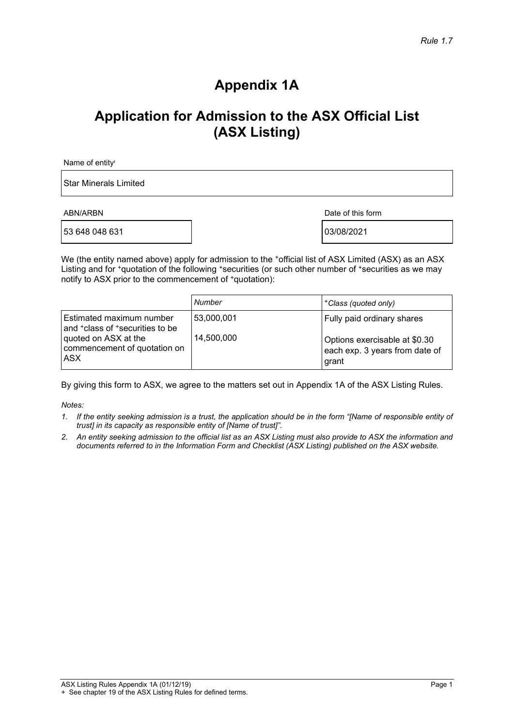# **Appendix 1A**

# **Application for Admission to the ASX Official List (ASX Listing)**

Name of entity<sup>1</sup>

Star Minerals Limited

53 648 048 631 03/08/2021

ABN/ARBN Date of this form

We (the entity named above) apply for admission to the  $\cdot$ official list of ASX Limited (ASX) as an ASX Listing and for +quotation of the following +securities (or such other number of +securities as we may notify to ASX prior to the commencement of +quotation):

|                                                                                     | Number     | <sup>+</sup> Class (quoted only)                                                |
|-------------------------------------------------------------------------------------|------------|---------------------------------------------------------------------------------|
| Estimated maximum number<br>and <sup>+</sup> class of <sup>+</sup> securities to be | 53,000,001 | Fully paid ordinary shares                                                      |
| quoted on ASX at the<br>commencement of quotation on<br>ASX                         | 14,500,000 | Options exercisable at \$0.30<br>each exp. 3 years from date of<br><b>grant</b> |

By giving this form to ASX, we agree to the matters set out in Appendix 1A of the ASX Listing Rules.

*Notes:*

- *1. If the entity seeking admission is a trust, the application should be in the form "[Name of responsible entity of trust] in its capacity as responsible entity of [Name of trust]".*
- *2. An entity seeking admission to the official list as an ASX Listing must also provide to ASX the information and documents referred to in the Information Form and Checklist (ASX Listing) published on the ASX website.*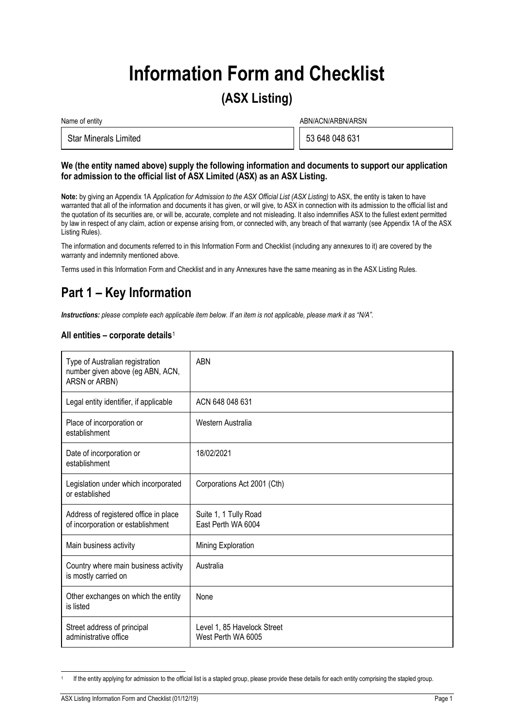# **Information Form and Checklist**

## **(ASX Listing)**

| Name of entity               | ABN/ACN/ARBN/ARSN |                |
|------------------------------|-------------------|----------------|
| <b>Star Minerals Limited</b> |                   | 53 648 048 631 |

#### **We (the entity named above) supply the following information and documents to support our application for admission to the official list of ASX Limited (ASX) as an ASX Listing.**

**Note:** by giving an Appendix 1A *Application for Admission to the ASX Official List (ASX Listing)* to ASX, the entity is taken to have warranted that all of the information and documents it has given, or will give, to ASX in connection with its admission to the official list and the quotation of its securities are, or will be, accurate, complete and not misleading. It also indemnifies ASX to the fullest extent permitted by law in respect of any claim, action or expense arising from, or connected with, any breach of that warranty (see Appendix 1A of the ASX Listing Rules).

The information and documents referred to in this Information Form and Checklist (including any annexures to it) are covered by the warranty and indemnity mentioned above.

Terms used in this Information Form and Checklist and in any Annexures have the same meaning as in the ASX Listing Rules.

# **Part 1 – Key Information**

*Instructions: please complete each applicable item below. If an item is not applicable, please mark it as "N/A".*

#### **All entities – corporate details**[1](#page-1-0)

| Type of Australian registration<br>number given above (eg ABN, ACN,<br>ARSN or ARBN) | <b>ABN</b>                                        |
|--------------------------------------------------------------------------------------|---------------------------------------------------|
| Legal entity identifier, if applicable                                               | ACN 648 048 631                                   |
| Place of incorporation or<br>establishment                                           | Western Australia                                 |
| Date of incorporation or<br>establishment                                            | 18/02/2021                                        |
| Legislation under which incorporated<br>or established                               | Corporations Act 2001 (Cth)                       |
| Address of registered office in place<br>of incorporation or establishment           | Suite 1, 1 Tully Road<br>East Perth WA 6004       |
| Main business activity                                                               | Mining Exploration                                |
| Country where main business activity<br>is mostly carried on                         | Australia                                         |
| Other exchanges on which the entity<br>is listed                                     | None                                              |
| Street address of principal<br>administrative office                                 | Level 1, 85 Havelock Street<br>West Perth WA 6005 |

<span id="page-1-0"></span>If the entity applying for admission to the official list is a stapled group, please provide these details for each entity comprising the stapled group.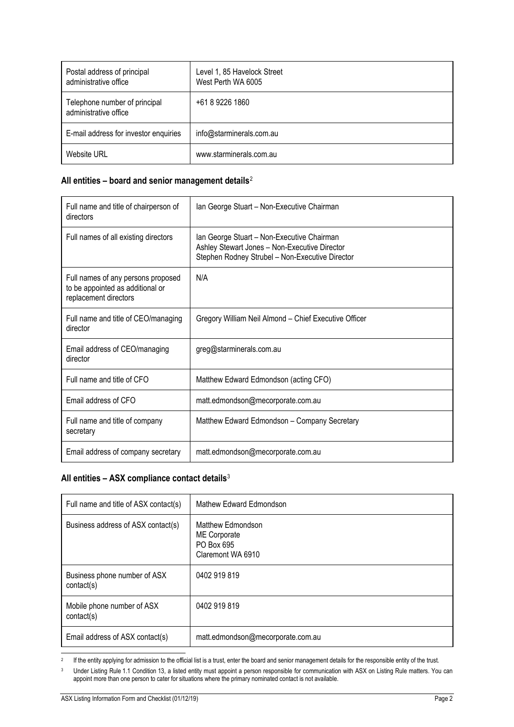| Postal address of principal<br>administrative office   | Level 1, 85 Havelock Street<br>West Perth WA 6005 |
|--------------------------------------------------------|---------------------------------------------------|
| Telephone number of principal<br>administrative office | +61 8 9226 1860                                   |
| E-mail address for investor enquiries                  | info@starminerals.com.au                          |
| Website URL                                            | www.starminerals.com.au                           |

#### **All entities – board and senior management details**[2](#page-2-0)

| Full name and title of chairperson of<br>directors                                              | Ian George Stuart - Non-Executive Chairman                                                                                                     |
|-------------------------------------------------------------------------------------------------|------------------------------------------------------------------------------------------------------------------------------------------------|
| Full names of all existing directors                                                            | Ian George Stuart - Non-Executive Chairman<br>Ashley Stewart Jones - Non-Executive Director<br>Stephen Rodney Strubel - Non-Executive Director |
| Full names of any persons proposed<br>to be appointed as additional or<br>replacement directors | N/A                                                                                                                                            |
| Full name and title of CEO/managing<br>director                                                 | Gregory William Neil Almond - Chief Executive Officer                                                                                          |
| Email address of CEO/managing<br>director                                                       | greg@starminerals.com.au                                                                                                                       |
| Full name and title of CFO                                                                      | Matthew Edward Edmondson (acting CFO)                                                                                                          |
| Email address of CFO                                                                            | matt.edmondson@mecorporate.com.au                                                                                                              |
| Full name and title of company<br>secretary                                                     | Matthew Edward Edmondson - Company Secretary                                                                                                   |
| Email address of company secretary                                                              | matt.edmondson@mecorporate.com.au                                                                                                              |

#### **All entities – ASX compliance contact details**[3](#page-2-1)

| Full name and title of ASX contact(s)      | Mathew Edward Edmondson                                              |
|--------------------------------------------|----------------------------------------------------------------------|
| Business address of ASX contact(s)         | Matthew Edmondson<br>ME Corporate<br>PO Box 695<br>Claremont WA 6910 |
| Business phone number of ASX<br>contact(s) | 0402 919 819                                                         |
| Mobile phone number of ASX<br>contact(s)   | 0402 919 819                                                         |
| Email address of ASX contact(s)            | matt.edmondson@mecorporate.com.au                                    |

<span id="page-2-0"></span><sup>2</sup> If the entity applying for admission to the official list is a trust, enter the board and senior management details for the responsible entity of the trust.

<span id="page-2-1"></span><sup>3</sup> Under Listing Rule 1.1 Condition 13, a listed entity must appoint a person responsible for communication with ASX on Listing Rule matters. You can appoint more than one person to cater for situations where the primary nominated contact is not available.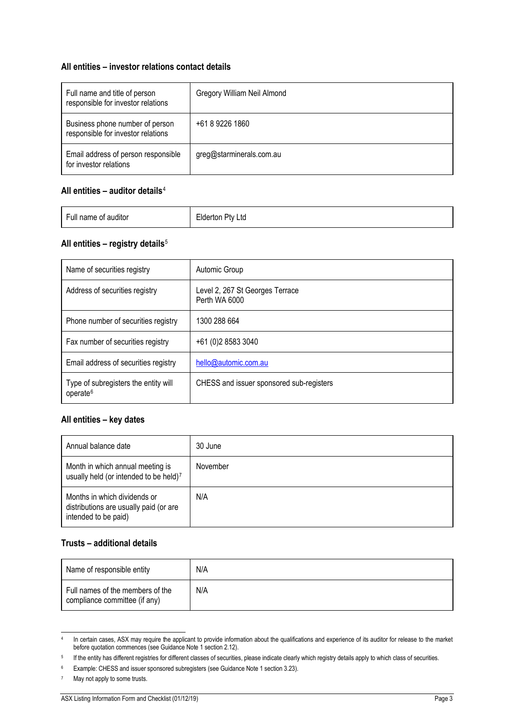#### **All entities – investor relations contact details**

| Full name and title of person<br>responsible for investor relations   | Gregory William Neil Almond |
|-----------------------------------------------------------------------|-----------------------------|
| Business phone number of person<br>responsible for investor relations | +61 8 9226 1860             |
| Email address of person responsible<br>for investor relations         | greg@starminerals.com.au    |

#### **All entities – auditor details**[4](#page-3-0)

| Full name of auditor | Pty Ltd<br>∟lderton |
|----------------------|---------------------|
|                      |                     |

#### **All entities – registry details**[5](#page-3-1)

| Name of securities registry                                  | Automic Group                                    |
|--------------------------------------------------------------|--------------------------------------------------|
| Address of securities registry                               | Level 2, 267 St Georges Terrace<br>Perth WA 6000 |
| Phone number of securities registry                          | 1300 288 664                                     |
| Fax number of securities registry                            | +61 (0)2 8583 3040                               |
| Email address of securities registry                         | hello@automic.com.au                             |
| Type of subregisters the entity will<br>operate <sup>6</sup> | CHESS and issuer sponsored sub-registers         |

#### **All entities – key dates**

| Annual balance date                                                                            | 30 June  |
|------------------------------------------------------------------------------------------------|----------|
| Month in which annual meeting is<br>usually held (or intended to be held) <sup>7</sup>         | November |
| Months in which dividends or<br>distributions are usually paid (or are<br>intended to be paid) | N/A      |

#### **Trusts – additional details**

| Name of responsible entity                                        | N/A |
|-------------------------------------------------------------------|-----|
| Full names of the members of the<br>compliance committee (if any) | N/A |

<span id="page-3-0"></span><sup>4</sup> In certain cases, ASX may require the applicant to provide information about the qualifications and experience of its auditor for release to the market before quotation commences (see Guidance Note 1 section 2.12).

<span id="page-3-1"></span><sup>&</sup>lt;sup>5</sup> If the entity has different registries for different classes of securities, please indicate clearly which registry details apply to which class of securities.

<span id="page-3-3"></span><span id="page-3-2"></span><sup>6</sup> Example: CHESS and issuer sponsored subregisters (see Guidance Note 1 section 3.23).

<sup>7</sup> May not apply to some trusts.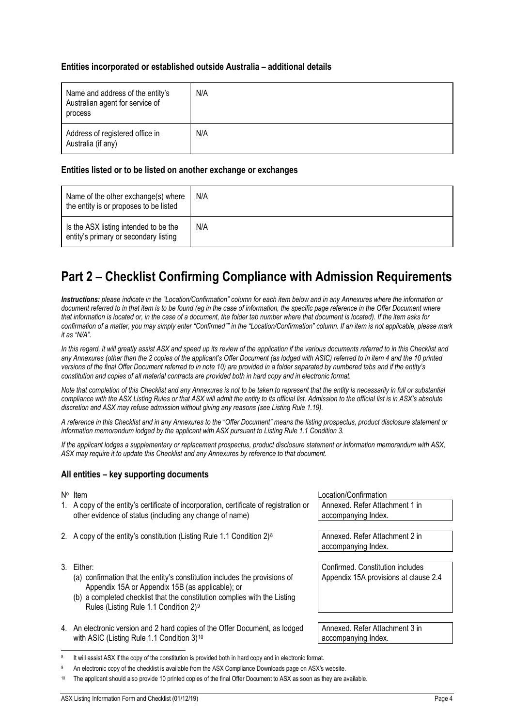#### **Entities incorporated or established outside Australia – additional details**

| Name and address of the entity's<br>Australian agent for service of<br>process | N/A |
|--------------------------------------------------------------------------------|-----|
| Address of registered office in<br>Australia (if any)                          | N/A |

#### **Entities listed or to be listed on another exchange or exchanges**

| Name of the other exchange(s) where<br>the entity is or proposes to be listed  | N/A |
|--------------------------------------------------------------------------------|-----|
| Is the ASX listing intended to be the<br>entity's primary or secondary listing | N/A |

# **Part 2 – Checklist Confirming Compliance with Admission Requirements**

*Instructions: please indicate in the "Location/Confirmation" column for each item below and in any Annexures where the information or document referred to in that item is to be found (eg in the case of information, the specific page reference in the Offer Document where that information is located or, in the case of a document, the folder tab number where that document is located). If the item asks for confirmation of a matter, you may simply enter "Confirmed"" in the "Location/Confirmation" column. If an item is not applicable, please mark it as "N/A".*

In this regard, it will greatly assist ASX and speed up its review of the application if the various documents referred to in this Checklist and *any Annexures (other than the 2 copies of the applicant's Offer Document (as lodged with ASIC) referred to in item 4 and the 10 printed versions of the final Offer Document referred to in note 10) are provided in a folder separated by numbered tabs and if the entity's constitution and copies of all material contracts are provided both in hard copy and in electronic format.*

*Note that completion of this Checklist and any Annexures is not to be taken to represent that the entity is necessarily in full or substantial compliance with the ASX Listing Rules or that ASX will admit the entity to its official list. Admission to the official list is in ASX's absolute discretion and ASX may refuse admission without giving any reasons (see Listing Rule 1.19).*

*A reference in this Checklist and in any Annexures to the "Offer Document" means the listing prospectus, product disclosure statement or information memorandum lodged by the applicant with ASX pursuant to Listing Rule 1.1 Condition 3.*

*If the applicant lodges a supplementary or replacement prospectus, product disclosure statement or information memorandum with ASX, ASX may require it to update this Checklist and any Annexures by reference to that document.*

#### **All entities – key supporting documents**

No Item **No Item** Location/Confirmation

| 1. A copy of the entity's certificate of incorporation, certificate of registration or<br>other evidence of status (including any change of name)                                                                                                                | Annexed. Refer Attachment 1 in<br>accompanying Index. |
|------------------------------------------------------------------------------------------------------------------------------------------------------------------------------------------------------------------------------------------------------------------|-------------------------------------------------------|
|                                                                                                                                                                                                                                                                  |                                                       |
| 2. A copy of the entity's constitution (Listing Rule 1.1 Condition 2) <sup>8</sup>                                                                                                                                                                               | Annexed, Refer Attachment 2 in                        |
|                                                                                                                                                                                                                                                                  | accompanying Index.                                   |
|                                                                                                                                                                                                                                                                  |                                                       |
| 3. Either:                                                                                                                                                                                                                                                       | Confirmed. Constitution includes                      |
| (a) confirmation that the entity's constitution includes the provisions of<br>Appendix 15A or Appendix 15B (as applicable); or<br>(b) a completed checklist that the constitution complies with the Listing<br>Rules (Listing Rule 1.1 Condition 2) <sup>9</sup> | Appendix 15A provisions at clause 2.4                 |
|                                                                                                                                                                                                                                                                  |                                                       |
| 4. An electronic version and 2 hard copies of the Offer Document, as lodged<br>with ASIC (Listing Rule 1.1 Condition 3) <sup>10</sup>                                                                                                                            | Annexed. Refer Attachment 3 in<br>accompanying Index. |

<span id="page-4-1"></span><span id="page-4-0"></span>It will assist ASX if the copy of the constitution is provided both in hard copy and in electronic format.

An electronic copy of the checklist is available from the ASX Compliance Downloads page on ASX's website.

<span id="page-4-2"></span>The applicant should also provide 10 printed copies of the final Offer Document to ASX as soon as they are available.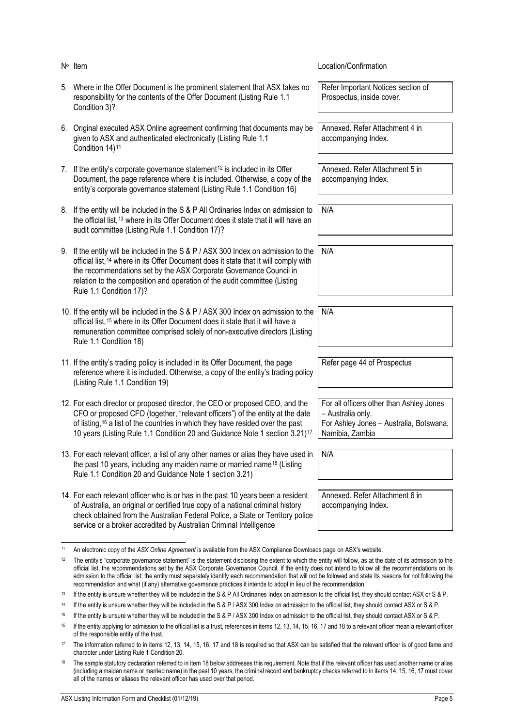|    | N° Item                                                                                                                                                                                                                                                                                                                                                             | Location/Confirmation                                                                                                       |
|----|---------------------------------------------------------------------------------------------------------------------------------------------------------------------------------------------------------------------------------------------------------------------------------------------------------------------------------------------------------------------|-----------------------------------------------------------------------------------------------------------------------------|
|    | 5. Where in the Offer Document is the prominent statement that ASX takes no<br>responsibility for the contents of the Offer Document (Listing Rule 1.1<br>Condition 3)?                                                                                                                                                                                             | Refer Important Notices section of<br>Prospectus, inside cover.                                                             |
| 6. | Original executed ASX Online agreement confirming that documents may be<br>given to ASX and authenticated electronically (Listing Rule 1.1<br>Condition 14) <sup>11</sup>                                                                                                                                                                                           | Annexed. Refer Attachment 4 in<br>accompanying Index.                                                                       |
|    | 7. If the entity's corporate governance statement <sup>12</sup> is included in its Offer<br>Document, the page reference where it is included. Otherwise, a copy of the<br>entity's corporate governance statement (Listing Rule 1.1 Condition 16)                                                                                                                  | Annexed. Refer Attachment 5 in<br>accompanying Index.                                                                       |
|    | 8. If the entity will be included in the S & P All Ordinaries Index on admission to<br>the official list, <sup>13</sup> where in its Offer Document does it state that it will have an<br>audit committee (Listing Rule 1.1 Condition 17)?                                                                                                                          | N/A                                                                                                                         |
|    | 9. If the entity will be included in the S & P / ASX 300 Index on admission to the<br>official list, <sup>14</sup> where in its Offer Document does it state that it will comply with<br>the recommendations set by the ASX Corporate Governance Council in<br>relation to the composition and operation of the audit committee (Listing<br>Rule 1.1 Condition 17)? | N/A                                                                                                                         |
|    | 10. If the entity will be included in the S & P / ASX 300 Index on admission to the<br>official list, <sup>15</sup> where in its Offer Document does it state that it will have a<br>remuneration committee comprised solely of non-executive directors (Listing<br>Rule 1.1 Condition 18)                                                                          | N/A                                                                                                                         |
|    | 11. If the entity's trading policy is included in its Offer Document, the page<br>reference where it is included. Otherwise, a copy of the entity's trading policy<br>(Listing Rule 1.1 Condition 19)                                                                                                                                                               | Refer page 44 of Prospectus                                                                                                 |
|    | 12. For each director or proposed director, the CEO or proposed CEO, and the<br>CFO or proposed CFO (together, "relevant officers") of the entity at the date<br>of listing, <sup>16</sup> a list of the countries in which they have resided over the past<br>10 years (Listing Rule 1.1 Condition 20 and Guidance Note 1 section 3.21) <sup>17</sup>              | For all officers other than Ashley Jones<br>- Australia only.<br>For Ashley Jones - Australia, Botswana,<br>Namibia, Zambia |
|    | 13. For each relevant officer, a list of any other names or alias they have used in<br>the past 10 years, including any maiden name or married name <sup>18</sup> (Listing<br>Rule 1.1 Condition 20 and Guidance Note 1 section 3.21)                                                                                                                               | N/A                                                                                                                         |
|    | 14. For each relevant officer who is or has in the past 10 years been a resident<br>of Australia, an original or certified true copy of a national criminal history<br>check obtained from the Australian Federal Police, a State or Territory police<br>service or a broker accredited by Australian Criminal Intelligence                                         | Annexed. Refer Attachment 6 in<br>accompanying Index.                                                                       |

<span id="page-5-1"></span><span id="page-5-0"></span><sup>11</sup> An electronic copy of the *ASX Online Agreement* is available from the ASX Compliance Downloads page on ASX's website.

<sup>&</sup>lt;sup>12</sup> The entity's "corporate governance statement" is the statement disclosing the extent to which the entity will follow, as at the date of its admission to the official list, the recommendations set by the ASX Corporate Governance Council. If the entity does not intend to follow all the recommendations on its admission to the official list, the entity must separately identify each recommendation that will not be followed and state its reasons for not following the recommendation and what (if any) alternative governance practices it intends to adopt in lieu of the recommendation.

<span id="page-5-2"></span><sup>&</sup>lt;sup>13</sup> If the entity is unsure whether they will be included in the S & P All Ordinaries Index on admission to the official list, they should contact ASX or S & P.

<span id="page-5-3"></span><sup>14</sup> If the entity is unsure whether they will be included in the S & P / ASX 300 Index on admission to the official list, they should contact ASX or S & P.

<span id="page-5-4"></span><sup>&</sup>lt;sup>15</sup> If the entity is unsure whether they will be included in the S & P / ASX 300 Index on admission to the official list, they should contact ASX or S & P.

<span id="page-5-5"></span><sup>&</sup>lt;sup>16</sup> If the entity applying for admission to the official list is a trust, references in items 12, 13, 14, 15, 16, 17 and 18 to a relevant officer mean a relevant officer of the responsible entity of the trust.

<span id="page-5-6"></span><sup>17</sup> The information referred to in items 12, 13, 14, 15, 16, 17 and 18 is required so that ASX can be satisfied that the relevant officer is of good fame and character under Listing Rule 1 Condition 20.

<span id="page-5-7"></span>The sample statutory declaration referred to in item 18 below addresses this requirement. Note that if the relevant officer has used another name or alias (including a maiden name or married name) in the past 10 years, the criminal record and bankruptcy checks referred to in items 14, 15, 16, 17 must cover all of the names or aliases the relevant officer has used over that period.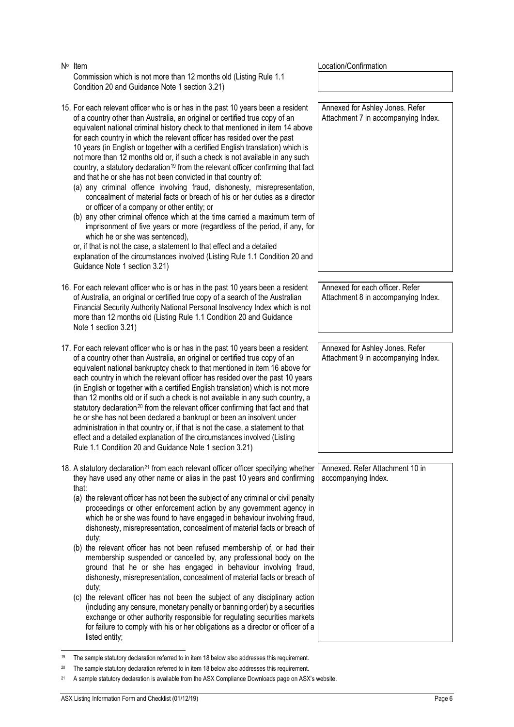| $N^{\circ}$ Item                                                                                                                                                                                                                                                                                                                                                                                                                                                                                                                                                                                                                                                                                                                                                                                                                                                                                                                                                                                                                                                                                                                                                                                                                                                    | Location/Confirmation                                                  |
|---------------------------------------------------------------------------------------------------------------------------------------------------------------------------------------------------------------------------------------------------------------------------------------------------------------------------------------------------------------------------------------------------------------------------------------------------------------------------------------------------------------------------------------------------------------------------------------------------------------------------------------------------------------------------------------------------------------------------------------------------------------------------------------------------------------------------------------------------------------------------------------------------------------------------------------------------------------------------------------------------------------------------------------------------------------------------------------------------------------------------------------------------------------------------------------------------------------------------------------------------------------------|------------------------------------------------------------------------|
| Commission which is not more than 12 months old (Listing Rule 1.1)<br>Condition 20 and Guidance Note 1 section 3.21)                                                                                                                                                                                                                                                                                                                                                                                                                                                                                                                                                                                                                                                                                                                                                                                                                                                                                                                                                                                                                                                                                                                                                |                                                                        |
| 15. For each relevant officer who is or has in the past 10 years been a resident<br>of a country other than Australia, an original or certified true copy of an<br>equivalent national criminal history check to that mentioned in item 14 above<br>for each country in which the relevant officer has resided over the past<br>10 years (in English or together with a certified English translation) which is<br>not more than 12 months old or, if such a check is not available in any such<br>country, a statutory declaration <sup>19</sup> from the relevant officer confirming that fact<br>and that he or she has not been convicted in that country of:<br>(a) any criminal offence involving fraud, dishonesty, misrepresentation,<br>concealment of material facts or breach of his or her duties as a director<br>or officer of a company or other entity; or<br>(b) any other criminal offence which at the time carried a maximum term of<br>imprisonment of five years or more (regardless of the period, if any, for<br>which he or she was sentenced),<br>or, if that is not the case, a statement to that effect and a detailed<br>explanation of the circumstances involved (Listing Rule 1.1 Condition 20 and<br>Guidance Note 1 section 3.21) | Annexed for Ashley Jones. Refer<br>Attachment 7 in accompanying Index. |
| 16. For each relevant officer who is or has in the past 10 years been a resident                                                                                                                                                                                                                                                                                                                                                                                                                                                                                                                                                                                                                                                                                                                                                                                                                                                                                                                                                                                                                                                                                                                                                                                    | Annexed for each officer. Refer                                        |
| of Australia, an original or certified true copy of a search of the Australian<br>Financial Security Authority National Personal Insolvency Index which is not<br>more than 12 months old (Listing Rule 1.1 Condition 20 and Guidance<br>Note 1 section 3.21)                                                                                                                                                                                                                                                                                                                                                                                                                                                                                                                                                                                                                                                                                                                                                                                                                                                                                                                                                                                                       | Attachment 8 in accompanying Index.                                    |
| 17. For each relevant officer who is or has in the past 10 years been a resident                                                                                                                                                                                                                                                                                                                                                                                                                                                                                                                                                                                                                                                                                                                                                                                                                                                                                                                                                                                                                                                                                                                                                                                    | Annexed for Ashley Jones. Refer                                        |
| of a country other than Australia, an original or certified true copy of an<br>equivalent national bankruptcy check to that mentioned in item 16 above for<br>each country in which the relevant officer has resided over the past 10 years<br>(in English or together with a certified English translation) which is not more<br>than 12 months old or if such a check is not available in any such country, a<br>statutory declaration <sup>20</sup> from the relevant officer confirming that fact and that<br>he or she has not been declared a bankrupt or been an insolvent under<br>administration in that country or, if that is not the case, a statement to that<br>effect and a detailed explanation of the circumstances involved (Listing<br>Rule 1.1 Condition 20 and Guidance Note 1 section 3.21)                                                                                                                                                                                                                                                                                                                                                                                                                                                   | Attachment 9 in accompanying Index.                                    |
| 18. A statutory declaration <sup>21</sup> from each relevant officer officer specifying whether                                                                                                                                                                                                                                                                                                                                                                                                                                                                                                                                                                                                                                                                                                                                                                                                                                                                                                                                                                                                                                                                                                                                                                     | Annexed. Refer Attachment 10 in                                        |
| they have used any other name or alias in the past 10 years and confirming<br>that:<br>(a) the relevant officer has not been the subject of any criminal or civil penalty<br>proceedings or other enforcement action by any government agency in<br>which he or she was found to have engaged in behaviour involving fraud,<br>dishonesty, misrepresentation, concealment of material facts or breach of<br>duty;<br>(b) the relevant officer has not been refused membership of, or had their<br>membership suspended or cancelled by, any professional body on the<br>ground that he or she has engaged in behaviour involving fraud,<br>dishonesty, misrepresentation, concealment of material facts or breach of<br>duty;<br>(c) the relevant officer has not been the subject of any disciplinary action<br>(including any censure, monetary penalty or banning order) by a securities<br>exchange or other authority responsible for regulating securities markets<br>for failure to comply with his or her obligations as a director or officer of a<br>listed entity;                                                                                                                                                                                       | accompanying Index.                                                    |

<span id="page-6-0"></span><sup>19</sup> The sample statutory declaration referred to in item 18 below also addresses this requirement.

<span id="page-6-1"></span><sup>&</sup>lt;sup>20</sup> The sample statutory declaration referred to in item 18 below also addresses this requirement.

<span id="page-6-2"></span><sup>21</sup> A sample statutory declaration is available from the ASX Compliance Downloads page on ASX's website.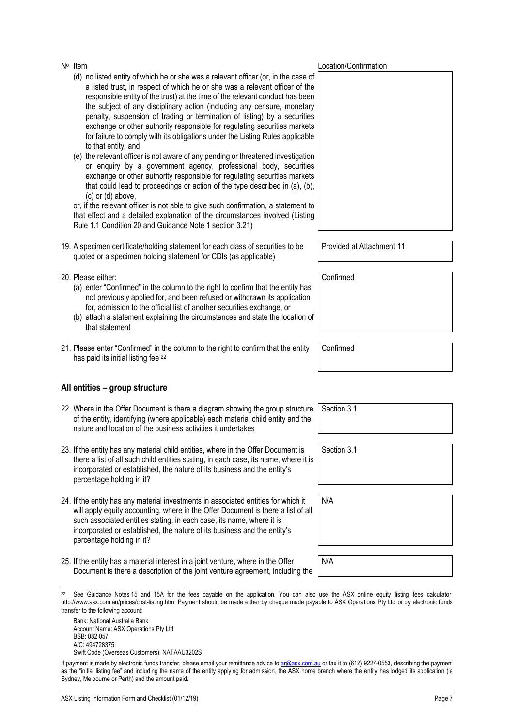- (d) no listed entity of which he or she was a relevant officer (or, in the case of a listed trust, in respect of which he or she was a relevant officer of the responsible entity of the trust) at the time of the relevant conduct has been the subject of any disciplinary action (including any censure, monetary penalty, suspension of trading or termination of listing) by a securities exchange or other authority responsible for regulating securities markets for failure to comply with its obligations under the Listing Rules applicable to that entity; and
- (e) the relevant officer is not aware of any pending or threatened investigation or enquiry by a government agency, professional body, securities exchange or other authority responsible for regulating securities markets that could lead to proceedings or action of the type described in (a), (b), (c) or (d) above,

or, if the relevant officer is not able to give such confirmation, a statement to that effect and a detailed explanation of the circumstances involved (Listing Rule 1.1 Condition 20 and Guidance Note 1 section 3.21)

- 19. A specimen certificate/holding statement for each class of securities to be quoted or a specimen holding statement for CDIs (as applicable)
- 20. Please either:
	- (a) enter "Confirmed" in the column to the right to confirm that the entity has not previously applied for, and been refused or withdrawn its application for, admission to the official list of another securities exchange, or
	- (b) attach a statement explaining the circumstances and state the location of that statement
- 21. Please enter "Confirmed" in the column to the right to confirm that the entity has paid its initial listing fee [22](#page-7-0)

#### **All entities – group structure**

- 22. Where in the Offer Document is there a diagram showing the group structure of the entity, identifying (where applicable) each material child entity and the nature and location of the business activities it undertakes
- 23. If the entity has any material child entities, where in the Offer Document is there a list of all such child entities stating, in each case, its name, where it is incorporated or established, the nature of its business and the entity's percentage holding in it?
- 24. If the entity has any material investments in associated entities for which it will apply equity accounting, where in the Offer Document is there a list of all such associated entities stating, in each case, its name, where it is incorporated or established, the nature of its business and the entity's percentage holding in it?
- 25. If the entity has a material interest in a joint venture, where in the Offer Document is there a description of the joint venture agreement, including the

Provided at Attachment 11

Confirmed

Confirmed

Section 3.1

Section 3.1

N/A N/A

<span id="page-7-0"></span>See Guidance Notes 15 and 15A for the fees payable on the application. You can also use the ASX online equity listing fees calculator: http://www.asx.com.au/prices/cost-listing.htm. Payment should be made either by cheque made payable to ASX Operations Pty Ltd or by electronic funds transfer to the following account:

Bank: National Australia Bank Account Name: ASX Operations Pty Ltd BSB: 082 057 A/C: 494728375 Swift Code (Overseas Customers): NATAAU3202S

No Item  $\mathsf{N}^{\circ}$  Location/Confirmation

If payment is made by electronic funds transfer, please email your remittance advice t[o ar@asx.com.au](mailto:ar@asx.com.au) or fax it to (612) 9227-0553, describing the payment as the "initial listing fee" and including the name of the entity applying for admission, the ASX home branch where the entity has lodged its application (ie Sydney, Melbourne or Perth) and the amount paid.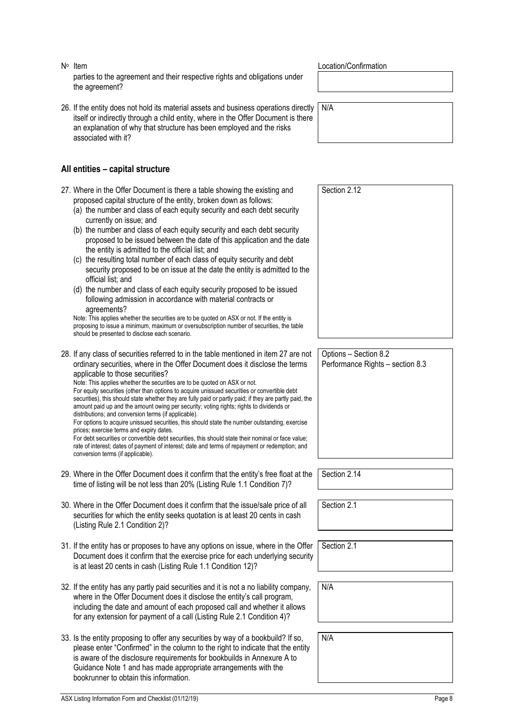27. Where in the Offer Document is there a table showing proposed capital structure of the entity, broken down as (a) the number and class of each equity security and currently on issue; and (b) the number and class of each equity security and proposed to be issued between the date of this ap the entity is admitted to the official list; and (c) the resulting total number of each class of equity s security proposed to be on issue at the date the entity proposed to be on issue at the date the official list; and (d) the number and class of each equity security prop

parties to the agreement and their respective rights and obligations under the agreement?

26. If the entity does not hold its material assets and business operations directly itself or indirectly through a child entity, where in the Offer Document is there an explanation of why that structure has been employed and the risks associated with it?

#### **All entities – capital structure**

### No Item  $\mathsf{N}^{\circ}$  Location/Confirmation

N/A

| 27. Where in the Offer Document is there a table showing the existing and<br>proposed capital structure of the entity, broken down as follows:<br>(a) the number and class of each equity security and each debt security<br>currently on issue; and<br>(b) the number and class of each equity security and each debt security<br>proposed to be issued between the date of this application and the date<br>the entity is admitted to the official list; and<br>(c) the resulting total number of each class of equity security and debt<br>security proposed to be on issue at the date the entity is admitted to the<br>official list; and<br>(d) the number and class of each equity security proposed to be issued<br>following admission in accordance with material contracts or<br>agreements?<br>Note: This applies whether the securities are to be quoted on ASX or not. If the entity is<br>proposing to issue a minimum, maximum or oversubscription number of securities, the table<br>should be presented to disclose each scenario. | Section 2.12                                              |
|------------------------------------------------------------------------------------------------------------------------------------------------------------------------------------------------------------------------------------------------------------------------------------------------------------------------------------------------------------------------------------------------------------------------------------------------------------------------------------------------------------------------------------------------------------------------------------------------------------------------------------------------------------------------------------------------------------------------------------------------------------------------------------------------------------------------------------------------------------------------------------------------------------------------------------------------------------------------------------------------------------------------------------------------------|-----------------------------------------------------------|
|                                                                                                                                                                                                                                                                                                                                                                                                                                                                                                                                                                                                                                                                                                                                                                                                                                                                                                                                                                                                                                                      |                                                           |
| 28. If any class of securities referred to in the table mentioned in item 27 are not<br>ordinary securities, where in the Offer Document does it disclose the terms<br>applicable to those securities?<br>Note: This applies whether the securities are to be quoted on ASX or not.<br>For equity securities (other than options to acquire unissued securities or convertible debt<br>securities), this should state whether they are fully paid or partly paid; if they are partly paid, the<br>amount paid up and the amount owing per security; voting rights; rights to dividends or<br>distributions; and conversion terms (if applicable).<br>For options to acquire unissued securities, this should state the number outstanding, exercise<br>prices; exercise terms and expiry dates.<br>For debt securities or convertible debt securities, this should state their nominal or face value;<br>rate of interest; dates of payment of interest; date and terms of repayment or redemption; and<br>conversion terms (if applicable).         | Options - Section 8.2<br>Performance Rights - section 8.3 |
| 29. Where in the Offer Document does it confirm that the entity's free float at the<br>time of listing will be not less than 20% (Listing Rule 1.1 Condition 7)?                                                                                                                                                                                                                                                                                                                                                                                                                                                                                                                                                                                                                                                                                                                                                                                                                                                                                     | Section 2.14                                              |
|                                                                                                                                                                                                                                                                                                                                                                                                                                                                                                                                                                                                                                                                                                                                                                                                                                                                                                                                                                                                                                                      |                                                           |
| 30. Where in the Offer Document does it confirm that the issue/sale price of all<br>securities for which the entity seeks quotation is at least 20 cents in cash<br>(Listing Rule 2.1 Condition 2)?                                                                                                                                                                                                                                                                                                                                                                                                                                                                                                                                                                                                                                                                                                                                                                                                                                                  | Section 2.1                                               |
|                                                                                                                                                                                                                                                                                                                                                                                                                                                                                                                                                                                                                                                                                                                                                                                                                                                                                                                                                                                                                                                      |                                                           |
| 31. If the entity has or proposes to have any options on issue, where in the Offer<br>Document does it confirm that the exercise price for each underlying security<br>is at least 20 cents in cash (Listing Rule 1.1 Condition 12)?                                                                                                                                                                                                                                                                                                                                                                                                                                                                                                                                                                                                                                                                                                                                                                                                                 | Section 2.1                                               |
| 32. If the entity has any partly paid securities and it is not a no liability company,<br>where in the Offer Document does it disclose the entity's call program,<br>including the date and amount of each proposed call and whether it allows<br>for any extension for payment of a call (Listing Rule 2.1 Condition 4)?                                                                                                                                                                                                                                                                                                                                                                                                                                                                                                                                                                                                                                                                                                                            | N/A                                                       |

33. Is the entity proposing to offer any securities by way of a bookbuild? If so, please enter "Confirmed" in the column to the right to indicate that the entity is aware of the disclosure requirements for bookbuilds in Annexure A to Guidance Note 1 and has made appropriate arrangements with the bookrunner to obtain this information.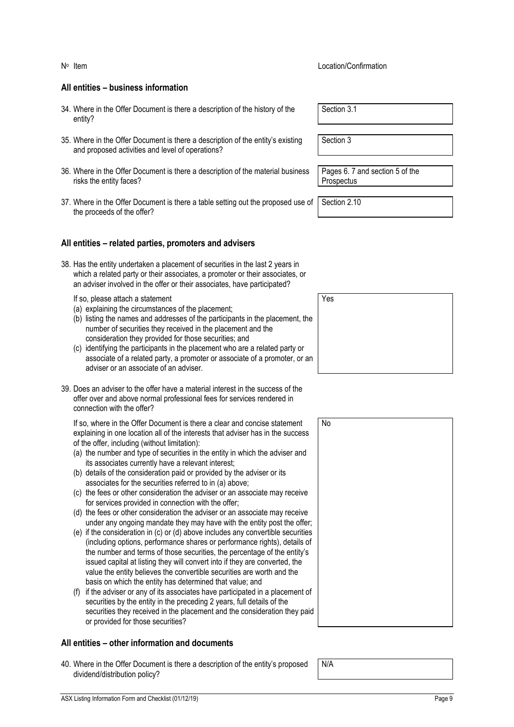#### **All entities – business information**

- 34. Where in the Offer Document is there a description of the history of the entity?
- 35. Where in the Offer Document is there a description of the entity's existing and proposed activities and level of operations?
- 36. Where in the Offer Document is there a description of the material business risks the entity faces?
- 37. Where in the Offer Document is there a table setting out the proposed use of the proceeds of the offer?

#### **All entities – related parties, promoters and advisers**

38. Has the entity undertaken a placement of securities in the last 2 years in which a related party or their associates, a promoter or their associates, or an adviser involved in the offer or their associates, have participated?

If so, please attach a statement

- (a) explaining the circumstances of the placement;
- (b) listing the names and addresses of the participants in the placement, the number of securities they received in the placement and the consideration they provided for those securities; and
- (c) identifying the participants in the placement who are a related party or associate of a related party, a promoter or associate of a promoter, or an adviser or an associate of an adviser.
- 39. Does an adviser to the offer have a material interest in the success of the offer over and above normal professional fees for services rendered in connection with the offer?

If so, where in the Offer Document is there a clear and concise statement explaining in one location all of the interests that adviser has in the success of the offer, including (without limitation):

- (a) the number and type of securities in the entity in which the adviser and its associates currently have a relevant interest;
- (b) details of the consideration paid or provided by the adviser or its associates for the securities referred to in (a) above;
- (c) the fees or other consideration the adviser or an associate may receive for services provided in connection with the offer;
- (d) the fees or other consideration the adviser or an associate may receive under any ongoing mandate they may have with the entity post the offer;
- (e) if the consideration in (c) or (d) above includes any convertible securities (including options, performance shares or performance rights), details of the number and terms of those securities, the percentage of the entity's issued capital at listing they will convert into if they are converted, the value the entity believes the convertible securities are worth and the basis on which the entity has determined that value; and
- (f) if the adviser or any of its associates have participated in a placement of securities by the entity in the preceding 2 years, full details of the securities they received in the placement and the consideration they paid or provided for those securities?

#### **All entities – other information and documents**

40. Where in the Offer Document is there a description of the entity's proposed dividend/distribution policy?

Section 3.1

Section 3

Pages 6. 7 and section 5 of the **Prospectus** 

Section 2.10



|   | No |
|---|----|
|   |    |
|   |    |
|   |    |
|   |    |
|   |    |
|   |    |
|   |    |
|   |    |
|   |    |
|   |    |
|   |    |
| J |    |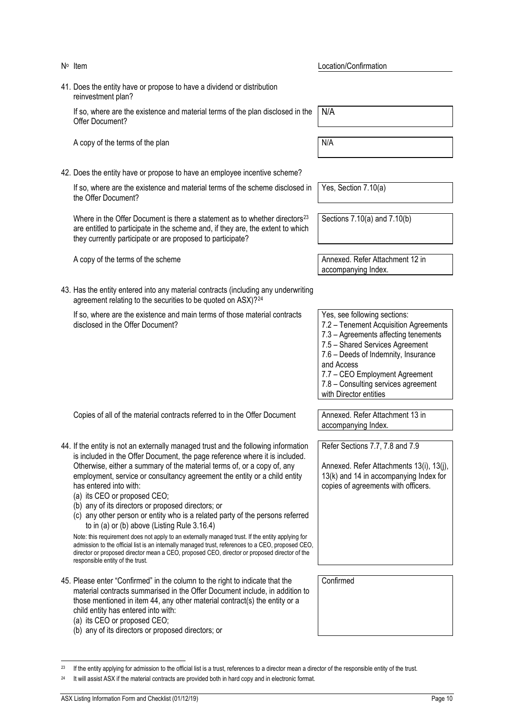- No Item  $\mathbb{N}^{\circ}$  Location/Confirmation 41. Does the entity have or propose to have a dividend or distribution reinvestment plan? If so, where are the existence and material terms of the plan disclosed in the Offer Document? A copy of the terms of the plan N/A 42. Does the entity have or propose to have an employee incentive scheme? If so, where are the existence and material terms of the scheme disclosed in the Offer Document? Where in the Offer Document is there a statement as to whether directors<sup>[23](#page-10-0)</sup> are entitled to participate in the scheme and, if they are, the extent to which they currently participate or are proposed to participate? A copy of the terms of the scheme Annexed. Refer Attachment 12 in 43. Has the entity entered into any material contracts (including any underwriting agreement relating to the securities to be quoted on ASX)?[24](#page-10-1) If so, where are the existence and main terms of those material contracts disclosed in the Offer Document? Copies of all of the material contracts referred to in the Offer Document Annexed. Refer Attachment 13 in 44. If the entity is not an externally managed trust and the following information is included in the Offer Document, the page reference where it is included. Otherwise, either a summary of the material terms of, or a copy of, any employment, service or consultancy agreement the entity or a child entity has entered into with: (a) its CEO or proposed CEO; (b) any of its directors or proposed directors; or (c) any other person or entity who is a related party of the persons referred
	- to in (a) or (b) above (Listing Rule 3.16.4) Note: this requirement does not apply to an externally managed trust. If the entity applying for

admission to the official list is an internally managed trust, references to a CEO, proposed CEO, director or proposed director mean a CEO, proposed CEO, director or proposed director of the responsible entity of the trust.

45. Please enter "Confirmed" in the column to the right to indicate that the material contracts summarised in the Offer Document include, in addition to those mentioned in item 44, any other material contract(s) the entity or a child entity has entered into with:

It will assist ASX if the material contracts are provided both in hard copy and in electronic format.

<span id="page-10-1"></span><span id="page-10-0"></span><sup>23</sup> If the entity applying for admission to the official list is a trust, references to a director mean a director of the responsible entity of the trust.

- (a) its CEO or proposed CEO;
- (b) any of its directors or proposed directors; or

N/A

Yes, Section 7.10(a)

Sections 7.10(a) and 7.10(b)

accompanying Index.

7.2 – Tenement Acquisition Agreements 7.3 – Agreements affecting tenements 7.5 – Shared Services Agreement 7.6 – Deeds of Indemnity, Insurance

7.7 – CEO Employment Agreement 7.8 – Consulting services agreement

Yes, see following sections:

and Access

with Director entities

accompanying Index.

Refer Sections 7.7, 7.8 and 7.9

Annexed. Refer Attachments 13(i), 13(j), 13(k) and 14 in accompanying Index for copies of agreements with officers.

Confirmed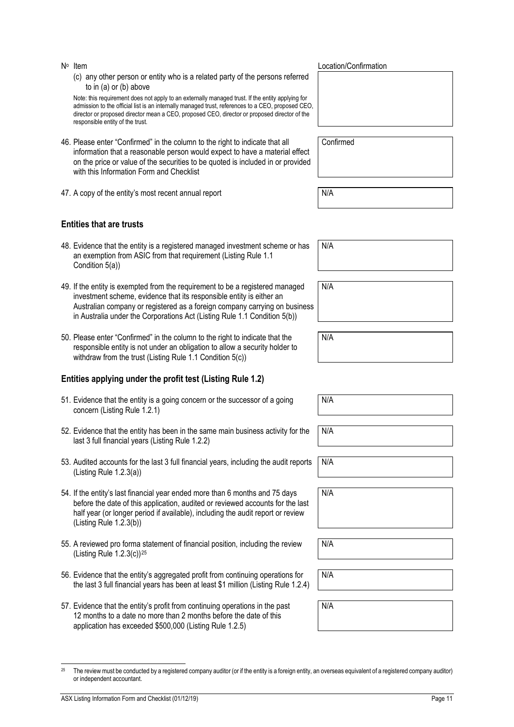or independent accountant.

- - (c) any other person or entity who is a related party of the persons referred to in (a) or (b) above

Note: this requirement does not apply to an externally managed trust. If the entity applying for admission to the official list is an internally managed trust, references to a CEO, proposed CEO, director or proposed director mean a CEO, proposed CEO, director or proposed director of the responsible entity of the trust.

- 46. Please enter "Confirmed" in the column to the right to indicate that all information that a reasonable person would expect to have a material effect on the price or value of the securities to be quoted is included in or provided with this Information Form and Checklist
- 47. A copy of the entity's most recent annual report N/A

#### **Entities that are trusts**

- 48. Evidence that the entity is a registered managed investment scheme or has an exemption from ASIC from that requirement (Listing Rule 1.1 Condition 5(a))
- 49. If the entity is exempted from the requirement to be a registered managed investment scheme, evidence that its responsible entity is either an Australian company or registered as a foreign company carrying on business in Australia under the Corporations Act (Listing Rule 1.1 Condition 5(b))
- 50. Please enter "Confirmed" in the column to the right to indicate that the responsible entity is not under an obligation to allow a security holder to withdraw from the trust (Listing Rule 1.1 Condition 5(c))

#### **Entities applying under the profit test (Listing Rule 1.2)**

- 51. Evidence that the entity is a going concern or the successor of a going concern (Listing Rule 1.2.1)
- 52. Evidence that the entity has been in the same main business activity for the last 3 full financial years (Listing Rule 1.2.2)
- 53. Audited accounts for the last 3 full financial years, including the audit reports (Listing Rule 1.2.3(a))
- 54. If the entity's last financial year ended more than 6 months and 75 days before the date of this application, audited or reviewed accounts for the last half year (or longer period if available), including the audit report or review (Listing Rule 1.2.3(b))
- 55. A reviewed pro forma statement of financial position, including the review (Listing Rule 1.2.3(c))[25](#page-11-0)
- 56. Evidence that the entity's aggregated profit from continuing operations for the last 3 full financial years has been at least \$1 million (Listing Rule 1.2.4)

<span id="page-11-0"></span><sup>25</sup> The review must be conducted by a registered company auditor (or if the entity is a foreign entity, an overseas equivalent of a registered company auditor)

57. Evidence that the entity's profit from continuing operations in the past 12 months to a date no more than 2 months before the date of this application has exceeded \$500,000 (Listing Rule 1.2.5)

No Item  $\mathsf{N}^{\circ}$  Location/Confirmation

Confirmed

N/A

N/A

N/A

N/A

N/A N/A N/A N/A N/A N/A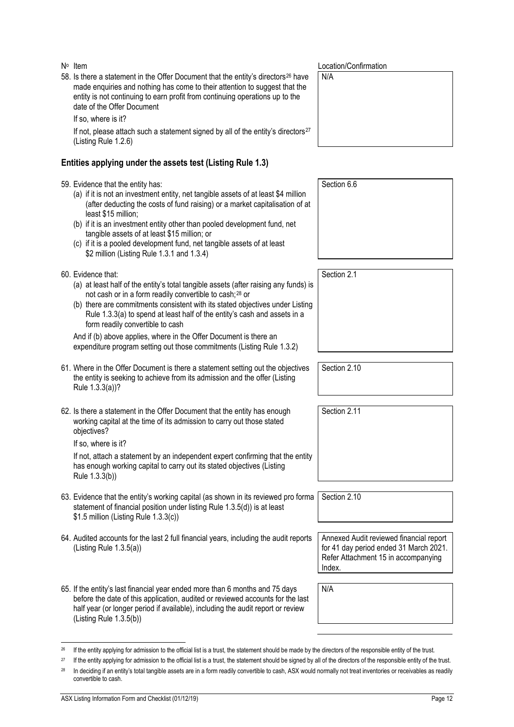58. Is there a statement in the Offer Document that the entity's directors[26](#page-12-0) have made enquiries and nothing has come to their attention to suggest that the entity is not continuing to earn profit from continuing operations up to the date of the Offer Document

If so, where is it?

If not, please attach such a statement signed by all of the entity's directors<sup>[27](#page-12-1)</sup> (Listing Rule 1.2.6)

#### **Entities applying under the assets test (Listing Rule 1.3)**

59. Evidence that the entity has:

- (a) if it is not an investment entity, net tangible assets of at least \$4 million (after deducting the costs of fund raising) or a market capitalisation of at least \$15 million;
- (b) if it is an investment entity other than pooled development fund, net tangible assets of at least \$15 million; or
- (c) if it is a pooled development fund, net tangible assets of at least \$2 million (Listing Rule 1.3.1 and 1.3.4)
- 60. Evidence that:
	- (a) at least half of the entity's total tangible assets (after raising any funds) is not cash or in a form readily convertible to cash;[28](#page-12-2) or
	- (b) there are commitments consistent with its stated objectives under Listing Rule 1.3.3(a) to spend at least half of the entity's cash and assets in a form readily convertible to cash

And if (b) above applies, where in the Offer Document is there an expenditure program setting out those commitments (Listing Rule 1.3.2)

- 61. Where in the Offer Document is there a statement setting out the objectives the entity is seeking to achieve from its admission and the offer (Listing Rule 1.3.3(a))?
- 62. Is there a statement in the Offer Document that the entity has enough working capital at the time of its admission to carry out those stated objectives?

If so, where is it?

If not, attach a statement by an independent expert confirming that the entity has enough working capital to carry out its stated objectives (Listing Rule 1.3.3(b))

- 63. Evidence that the entity's working capital (as shown in its reviewed pro forma statement of financial position under listing Rule 1.3.5(d)) is at least \$1.5 million (Listing Rule 1.3.3(c))
- 64. Audited accounts for the last 2 full financial years, including the audit reports (Listing Rule 1.3.5(a))
- 65. If the entity's last financial year ended more than 6 months and 75 days before the date of this application, audited or reviewed accounts for the last half year (or longer period if available), including the audit report or review (Listing Rule 1.3.5(b))

No Item  $\mathsf{N}^{\circ}$  Location/Confirmation

N/A

Section 6.6

Section 2.10

Section 2.1

Section 2.11

Section 2.10

Annexed Audit reviewed financial report for 41 day period ended 31 March 2021. Refer Attachment 15 in accompanying Index.

<sup>&</sup>lt;sup>26</sup> If the entity applying for admission to the official list is a trust, the statement should be made by the directors of the responsible entity of the trust.

<span id="page-12-2"></span><span id="page-12-1"></span><span id="page-12-0"></span><sup>&</sup>lt;sup>27</sup> If the entity applying for admission to the official list is a trust, the statement should be signed by all of the directors of the responsible entity of the trust.

<sup>&</sup>lt;sup>28</sup> In deciding if an entity's total tangible assets are in a form readily convertible to cash, ASX would normally not treat inventories or receivables as readily convertible to cash.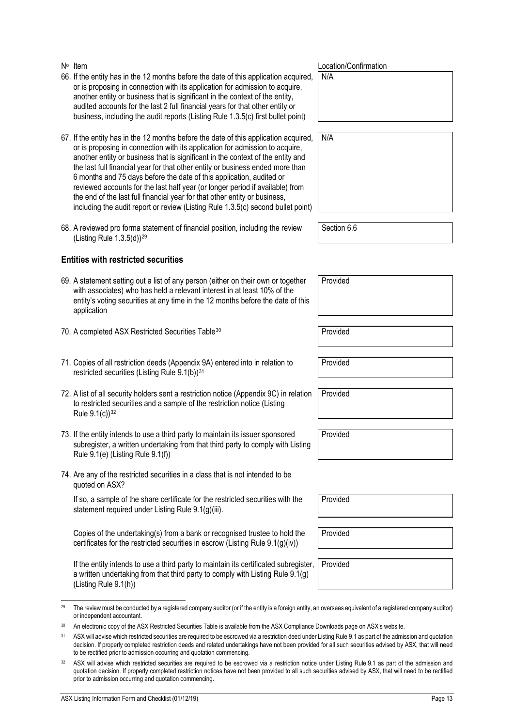- 66. If the entity has in the 12 months before the date of this application acquired, or is proposing in connection with its application for admission to acquire, another entity or business that is significant in the context of the entity, audited accounts for the last 2 full financial years for that other entity or business, including the audit reports (Listing Rule 1.3.5(c) first bullet point)
- 67. If the entity has in the 12 months before the date of this application acquired, or is proposing in connection with its application for admission to acquire, another entity or business that is significant in the context of the entity and the last full financial year for that other entity or business ended more than 6 months and 75 days before the date of this application, audited or reviewed accounts for the last half year (or longer period if available) from the end of the last full financial year for that other entity or business, including the audit report or review (Listing Rule 1.3.5(c) second bullet point)
- 68. A reviewed pro forma statement of financial position, including the review (Listing Rule 1.3.5(d))[29](#page-13-0)

#### **Entities with restricted securities**

- 69. A statement setting out a list of any person (either on their own or together with associates) who has held a relevant interest in at least 10% of the entity's voting securities at any time in the 12 months before the date of this application
- 70. A completed ASX Restricted Securities Table<sup>[30](#page-13-1)</sup> Provided
- 71. Copies of all restriction deeds (Appendix 9A) entered into in relation to restricted securities (Listing Rule 9.1(b))<sup>[31](#page-13-2)</sup>
- 72. A list of all security holders sent a restriction notice (Appendix 9C) in relation to restricted securities and a sample of the restriction notice (Listing Rule 9.1(c))<sup>[32](#page-13-3)</sup>
- 73. If the entity intends to use a third party to maintain its issuer sponsored subregister, a written undertaking from that third party to comply with Listing Rule 9.1(e) (Listing Rule 9.1(f))
- 74. Are any of the restricted securities in a class that is not intended to be quoted on ASX?

If so, a sample of the share certificate for the restricted securities with the statement required under Listing Rule 9.1(g)(iii).

Copies of the undertaking(s) from a bank or recognised trustee to hold the certificates for the restricted securities in escrow (Listing Rule 9.1(g)(iv))

If the entity intends to use a third party to maintain its certificated subregister, a written undertaking from that third party to comply with Listing Rule 9.1(g) (Listing Rule 9.1(h))

| N∘ Item | Location/Confirmation |
|---------|-----------------------|
|         |                       |

N/A

| N/A |  |  |  |
|-----|--|--|--|
|     |  |  |  |
|     |  |  |  |
|     |  |  |  |
|     |  |  |  |
|     |  |  |  |

Section 6.6

Provided

Provided

Provided

Provided

Provided

Provided

Provided

<span id="page-13-0"></span><sup>&</sup>lt;sup>29</sup> The review must be conducted by a registered company auditor (or if the entity is a foreign entity, an overseas equivalent of a registered company auditor) or independent accountant.

<sup>30</sup> An electronic copy of the ASX Restricted Securities Table is available from the ASX Compliance Downloads page on ASX's website.

<span id="page-13-2"></span><span id="page-13-1"></span><sup>&</sup>lt;sup>31</sup> ASX will advise which restricted securities are required to be escrowed via a restriction deed under Listing Rule 9.1 as part of the admission and quotation decision. If properly completed restriction deeds and related undertakings have not been provided for all such securities advised by ASX, that will need to be rectified prior to admission occurring and quotation commencing.

<span id="page-13-3"></span><sup>32</sup> ASX will advise which restricted securities are required to be escrowed via a restriction notice under Listing Rule 9.1 as part of the admission and quotation decision. If properly completed restriction notices have not been provided to all such securities advised by ASX, that will need to be rectified prior to admission occurring and quotation commencing.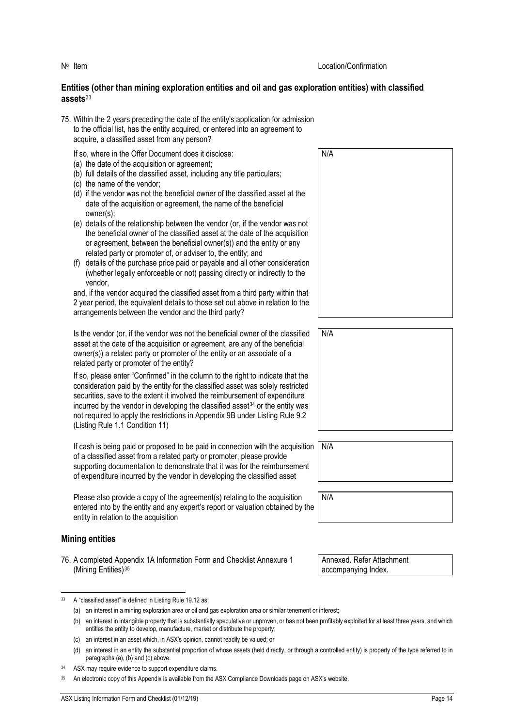#### **Entities (other than mining exploration entities and oil and gas exploration entities) with classified assets**[33](#page-14-0)

75. Within the 2 years preceding the date of the entity's application for admission to the official list, has the entity acquired, or entered into an agreement to acquire, a classified asset from any person?

If so, where in the Offer Document does it disclose:

- (a) the date of the acquisition or agreement;
- (b) full details of the classified asset, including any title particulars;
- (c) the name of the vendor;
- (d) if the vendor was not the beneficial owner of the classified asset at the date of the acquisition or agreement, the name of the beneficial owner(s);
- (e) details of the relationship between the vendor (or, if the vendor was not the beneficial owner of the classified asset at the date of the acquisition or agreement, between the beneficial owner(s)) and the entity or any related party or promoter of, or adviser to, the entity; and
- (f) details of the purchase price paid or payable and all other consideration (whether legally enforceable or not) passing directly or indirectly to the vendor,

and, if the vendor acquired the classified asset from a third party within that 2 year period, the equivalent details to those set out above in relation to the arrangements between the vendor and the third party?

Is the vendor (or, if the vendor was not the beneficial owner of the classified asset at the date of the acquisition or agreement, are any of the beneficial owner(s)) a related party or promoter of the entity or an associate of a related party or promoter of the entity?

If so, please enter "Confirmed" in the column to the right to indicate that the consideration paid by the entity for the classified asset was solely restricted securities, save to the extent it involved the reimbursement of expenditure incurred by the vendor in developing the classified asset<sup>[34](#page-14-1)</sup> or the entity was not required to apply the restrictions in Appendix 9B under Listing Rule 9.2 (Listing Rule 1.1 Condition 11)

If cash is being paid or proposed to be paid in connection with the acquisition of a classified asset from a related party or promoter, please provide supporting documentation to demonstrate that it was for the reimbursement of expenditure incurred by the vendor in developing the classified asset

Please also provide a copy of the agreement(s) relating to the acquisition entered into by the entity and any expert's report or valuation obtained by the entity in relation to the acquisition

#### **Mining entities**

76. A completed Appendix 1A Information Form and Checklist Annexure 1 (Mining Entities)<sup>[35](#page-14-2)</sup>

<span id="page-14-0"></span>

| 33 |  | A "classified asset" is defined in Listing Rule 19.12 as: |  |  |  |  |  |  |  |  |
|----|--|-----------------------------------------------------------|--|--|--|--|--|--|--|--|
|----|--|-----------------------------------------------------------|--|--|--|--|--|--|--|--|



| N/A |
|-----|
|     |
|     |
|     |
|     |
|     |
|     |
|     |

| J. | N/A |
|----|-----|
|    |     |
|    |     |
|    |     |

Annexed. Refer Attachment accompanying Index.

<sup>(</sup>a) an interest in a mining exploration area or oil and gas exploration area or similar tenement or interest;

<sup>(</sup>b) an interest in intangible property that is substantially speculative or unproven, or has not been profitably exploited for at least three years, and which entitles the entity to develop, manufacture, market or distribute the property;

<sup>(</sup>c) an interest in an asset which, in ASX's opinion, cannot readily be valued; or

<sup>(</sup>d) an interest in an entity the substantial proportion of whose assets (held directly, or through a controlled entity) is property of the type referred to in paragraphs (a), (b) and (c) above.

<span id="page-14-2"></span><span id="page-14-1"></span><sup>34</sup> ASX may require evidence to support expenditure claims.

An electronic copy of this Appendix is available from the ASX Compliance Downloads page on ASX's website.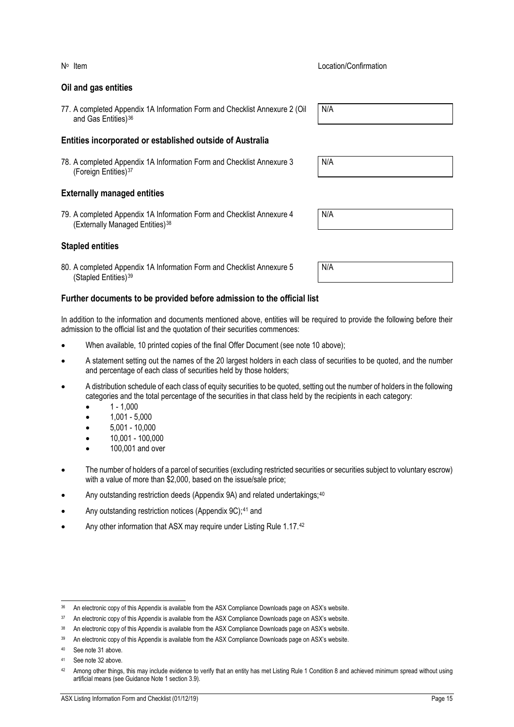#### **Oil and gas entities**

77. A completed Appendix 1A Information Form and Checklist Annexure 2 (Oil and Gas Entities)<sup>[36](#page-15-0)</sup>

#### **Entities incorporated or established outside of Australia**

78. A completed Appendix 1A Information Form and Checklist Annexure 3 (Foreign Entities)[37](#page-15-1)

#### **Externally managed entities**

79. A completed Appendix 1A Information Form and Checklist Annexure 4 (Externally Managed Entities)[38](#page-15-2)

#### **Stapled entities**

80. A completed Appendix 1A Information Form and Checklist Annexure 5 (Stapled Entities)[39](#page-15-3)

#### **Further documents to be provided before admission to the official list**

In addition to the information and documents mentioned above, entities will be required to provide the following before their admission to the official list and the quotation of their securities commences:

- When available, 10 printed copies of the final Offer Document (see note 10 above);
- A statement setting out the names of the 20 largest holders in each class of securities to be quoted, and the number and percentage of each class of securities held by those holders;
- A distribution schedule of each class of equity securities to be quoted, setting out the number of holders in the following categories and the total percentage of the securities in that class held by the recipients in each category:
	- $1 1,000$
	- 1,001 5,000
	- 5,001 10,000
	- 10,001 100,000
	- 100,001 and over
- The number of holders of a parcel of securities (excluding restricted securities or securities subject to voluntary escrow) with a value of more than \$2,000, based on the issue/sale price;
- Any outstanding restriction deeds (Appendix 9A) and related undertakings;<sup>[40](#page-15-4)</sup>
- Any outstanding restriction notices (Appendix 9C);<sup>[41](#page-15-5)</sup> and
- Any other information that ASX may require under Listing Rule 1.17.[42](#page-15-6)

N<sup>o</sup> Item Note in the United States of the United States of Location/Confirmation

N/A

N/A

| N/L<br>$\mathbf{v}$ |  |  |  |
|---------------------|--|--|--|
|                     |  |  |  |

<span id="page-15-0"></span><sup>36</sup> An electronic copy of this Appendix is available from the ASX Compliance Downloads page on ASX's website.

<span id="page-15-1"></span><sup>&</sup>lt;sup>37</sup> An electronic copy of this Appendix is available from the ASX Compliance Downloads page on ASX's website.

<span id="page-15-2"></span><sup>38</sup> An electronic copy of this Appendix is available from the ASX Compliance Downloads page on ASX's website.

<span id="page-15-3"></span><sup>39</sup> An electronic copy of this Appendix is available from the ASX Compliance Downloads page on ASX's website.

<span id="page-15-4"></span><sup>40</sup> See note 31 above.

<span id="page-15-5"></span><sup>41</sup> See note 32 above.

<span id="page-15-6"></span><sup>42</sup> Among other things, this may include evidence to verify that an entity has met Listing Rule 1 Condition 8 and achieved minimum spread without using artificial means (see Guidance Note 1 section 3.9).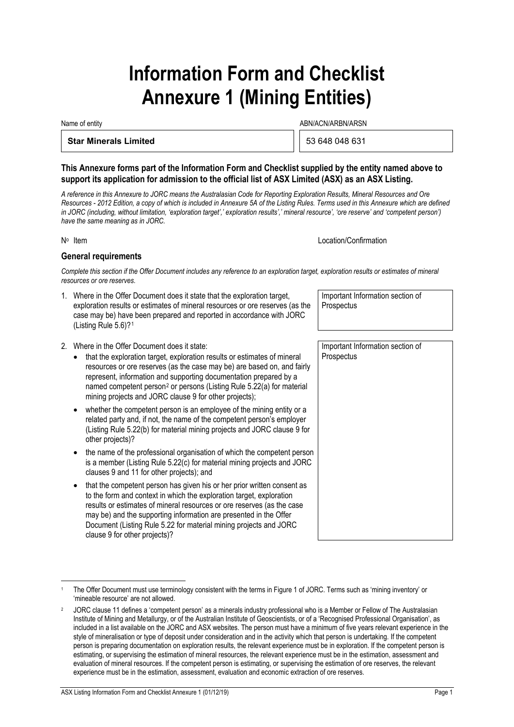# **Information Form and Checklist Annexure 1 (Mining Entities)**

Name of entity and the state of entity and the state of entity and the ABN/ACN/ARBN/ARSN

#### **Star Minerals Limited** 53 648 048 631

#### **This Annexure forms part of the Information Form and Checklist supplied by the entity named above to support its application for admission to the official list of ASX Limited (ASX) as an ASX Listing.**

*A reference in this Annexure to JORC means the Australasian Code for Reporting Exploration Results, Mineral Resources and Ore Resources - 2012 Edition, a copy of which is included in Annexure 5A of the Listing Rules. Terms used in this Annexure which are defined in JORC (including, without limitation, 'exploration target',' exploration results',' mineral resource', 'ore reserve' and 'competent person') have the same meaning as in JORC.*

No Item **No Item** Location/Confirmation

#### **General requirements**

*Complete this section if the Offer Document includes any reference to an exploration target, exploration results or estimates of mineral resources or ore reserves.*

- 1. Where in the Offer Document does it state that the exploration target, exploration results or estimates of mineral resources or ore reserves (as the case may be) have been prepared and reported in accordance with JORC (Listing Rule 5.6)?[1](#page-16-0)
- 2. Where in the Offer Document does it state:
	- that the exploration target, exploration results or estimates of mineral resources or ore reserves (as the case may be) are based on, and fairly represent, information and supporting documentation prepared by a named competent person[2](#page-16-1) or persons (Listing Rule 5.22(a) for material mining projects and JORC clause 9 for other projects);
	- whether the competent person is an employee of the mining entity or a related party and, if not, the name of the competent person's employer (Listing Rule 5.22(b) for material mining projects and JORC clause 9 for other projects)?
	- the name of the professional organisation of which the competent person is a member (Listing Rule 5.22(c) for material mining projects and JORC clauses 9 and 11 for other projects); and
	- that the competent person has given his or her prior written consent as to the form and context in which the exploration target, exploration results or estimates of mineral resources or ore reserves (as the case may be) and the supporting information are presented in the Offer Document (Listing Rule 5.22 for material mining projects and JORC clause 9 for other projects)?

Important Information section of **Prospectus** 

Important Information section of **Prospectus** 

<span id="page-16-0"></span>The Offer Document must use terminology consistent with the terms in Figure 1 of JORC. Terms such as 'mining inventory' or 'mineable resource' are not allowed.

<span id="page-16-1"></span><sup>2</sup> JORC clause 11 defines a 'competent person' as a minerals industry professional who is a Member or Fellow of The Australasian Institute of Mining and Metallurgy, or of the Australian Institute of Geoscientists, or of a 'Recognised Professional Organisation', as included in a list available on the JORC and ASX websites. The person must have a minimum of five years relevant experience in the style of mineralisation or type of deposit under consideration and in the activity which that person is undertaking. If the competent person is preparing documentation on exploration results, the relevant experience must be in exploration. If the competent person is estimating, or supervising the estimation of mineral resources, the relevant experience must be in the estimation, assessment and evaluation of mineral resources. If the competent person is estimating, or supervising the estimation of ore reserves, the relevant experience must be in the estimation, assessment, evaluation and economic extraction of ore reserves.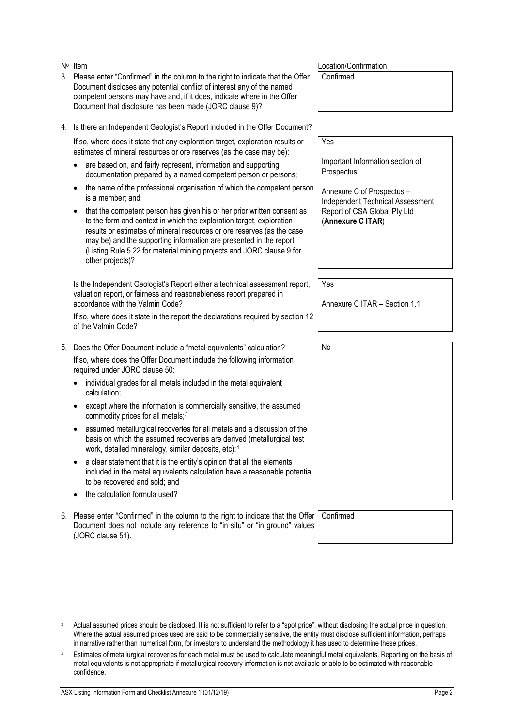<span id="page-17-1"></span><span id="page-17-0"></span>

|              | is a member; and<br>that the competent person has given his or her prior written consent as<br>to the form and context in which the exploration target, exploration<br>results or estimates of mineral resources or ore reserves (as the case<br>may be) and the supporting information are presented in the report<br>(Listing Rule 5.22 for material mining projects and JORC clause 9 for<br>other projects)?                                                                                                                                                                                                                                                                                                                                                                                                                                                                                         | <b>Independent Technical Assessment</b><br>Report of CSA Global Pty Ltd<br>(Annexure C ITAR) |
|--------------|----------------------------------------------------------------------------------------------------------------------------------------------------------------------------------------------------------------------------------------------------------------------------------------------------------------------------------------------------------------------------------------------------------------------------------------------------------------------------------------------------------------------------------------------------------------------------------------------------------------------------------------------------------------------------------------------------------------------------------------------------------------------------------------------------------------------------------------------------------------------------------------------------------|----------------------------------------------------------------------------------------------|
|              | Is the Independent Geologist's Report either a technical assessment report,<br>valuation report, or fairness and reasonableness report prepared in<br>accordance with the Valmin Code?<br>If so, where does it state in the report the declarations required by section 12<br>of the Valmin Code?                                                                                                                                                                                                                                                                                                                                                                                                                                                                                                                                                                                                        | Yes<br>Annexure C ITAR - Section 1.1                                                         |
| 5.           | Does the Offer Document include a "metal equivalents" calculation?<br>If so, where does the Offer Document include the following information<br>required under JORC clause 50:<br>individual grades for all metals included in the metal equivalent<br>calculation;<br>except where the information is commercially sensitive, the assumed<br>commodity prices for all metals; <sup>3</sup><br>assumed metallurgical recoveries for all metals and a discussion of the<br>٠<br>basis on which the assumed recoveries are derived (metallurgical test<br>work, detailed mineralogy, similar deposits, etc); <sup>4</sup><br>a clear statement that it is the entity's opinion that all the elements<br>٠<br>included in the metal equivalents calculation have a reasonable potential<br>to be recovered and sold; and<br>the calculation formula used?                                                   | No                                                                                           |
| 6.<br>3<br>4 | Please enter "Confirmed" in the column to the right to indicate that the Offer<br>Document does not include any reference to "in situ" or "in ground" values<br>(JORC clause 51).<br>Actual assumed prices should be disclosed. It is not sufficient to refer to a "spot price", without disclosing the actual price in question.<br>Where the actual assumed prices used are said to be commercially sensitive, the entity must disclose sufficient information, perhaps<br>in narrative rather than numerical form, for investors to understand the methodology it has used to determine these prices.<br>Estimates of metallurgical recoveries for each metal must be used to calculate meaningful metal equivalents. Reporting on the basis of<br>metal equivalents is not appropriate if metallurgical recovery information is not available or able to be estimated with reasonable<br>confidence. | Confirmed                                                                                    |
|              | ASX Listing Information Form and Checklist Annexure 1 (01/12/19)                                                                                                                                                                                                                                                                                                                                                                                                                                                                                                                                                                                                                                                                                                                                                                                                                                         | Page 2                                                                                       |

| $N^{\circ}$ Item                                                                  | Location/Confirmation |
|-----------------------------------------------------------------------------------|-----------------------|
| 3. Please enter "Confirmed" in the column to the right to indicate that the Offer | l Confirmed           |
| Document discloses any potential conflict of interest any of the named            |                       |
| competent persons may have and, if it does, indicate where in the Offer           |                       |
| Document that disclosure has been made (JORC clause 9)?                           |                       |

4. Is there an Independent Geologist's Report included in the Offer Document?

If so, where does it state that any exploration target, exploration results or estimates of mineral resources or ore reserves (as the case may be):

- are based on, and fairly represent, information and supporting documentation prepared by a named competent person or persons;
- the name of the professional organisation of which the competent person is a member; and

Important Information section of

Annexure C of Prospectus –

Yes

Prospectus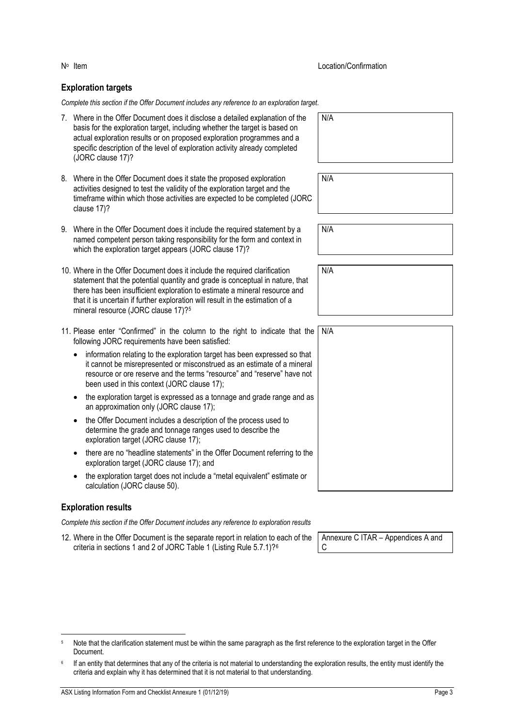### **Exploration targets**

*Complete this section if the Offer Document includes any reference to an exploration target.*

|             | 7. Where in the Offer Document does it disclose a detailed explanation of the<br>basis for the exploration target, including whether the target is based on<br>actual exploration results or on proposed exploration programmes and a<br>specific description of the level of exploration activity already completed<br>(JORC clause 17)?                                      | N/A |
|-------------|--------------------------------------------------------------------------------------------------------------------------------------------------------------------------------------------------------------------------------------------------------------------------------------------------------------------------------------------------------------------------------|-----|
| clause 17)? | 8. Where in the Offer Document does it state the proposed exploration<br>activities designed to test the validity of the exploration target and the<br>timeframe within which those activities are expected to be completed (JORC                                                                                                                                              | N/A |
|             | 9. Where in the Offer Document does it include the required statement by a<br>named competent person taking responsibility for the form and context in<br>which the exploration target appears (JORC clause 17)?                                                                                                                                                               | N/A |
|             | 10. Where in the Offer Document does it include the required clarification<br>statement that the potential quantity and grade is conceptual in nature, that<br>there has been insufficient exploration to estimate a mineral resource and<br>that it is uncertain if further exploration will result in the estimation of a<br>mineral resource (JORC clause 17)? <sup>5</sup> | N/A |
|             | 11. Please enter "Confirmed" in the column to the right to indicate that the<br>following JORC requirements have been satisfied:                                                                                                                                                                                                                                               | N/A |
|             | information relating to the exploration target has been expressed so that<br>it cannot be misrepresented or misconstrued as an estimate of a mineral<br>resource or ore reserve and the terms "resource" and "reserve" have not<br>been used in this context (JORC clause 17);                                                                                                 |     |
|             | the exploration target is expressed as a tonnage and grade range and as<br>an approximation only (JORC clause 17);                                                                                                                                                                                                                                                             |     |
| $\bullet$   | the Offer Document includes a description of the process used to<br>determine the grade and tonnage ranges used to describe the<br>exploration target (JORC clause 17);                                                                                                                                                                                                        |     |
|             | there are no "headline statements" in the Offer Document referring to the<br>exploration target (JORC clause 17); and                                                                                                                                                                                                                                                          |     |
|             | the exploration target does not include a "metal equivalent" estimate or<br>calculation (JORC clause 50).                                                                                                                                                                                                                                                                      |     |

#### **Exploration results**

*Complete this section if the Offer Document includes any reference to exploration results*

12. Where in the Offer Document is the separate report in relation to each of the criteria in sections 1 and 2 of JORC Table 1 (Listing Rule 5.7.1)?<sup>[6](#page-18-1)</sup>

| Annexure C ITAR - Appendices A and |  |
|------------------------------------|--|
| C                                  |  |

<span id="page-18-0"></span>

| Note that the clarification statement must be within the same paragraph as the first reference to the exploration target in the Offer |
|---------------------------------------------------------------------------------------------------------------------------------------|
| Document.                                                                                                                             |

<span id="page-18-1"></span><sup>&</sup>lt;sup>6</sup> If an entity that determines that any of the criteria is not material to understanding the exploration results, the entity must identify the criteria and explain why it has determined that it is not material to that understanding.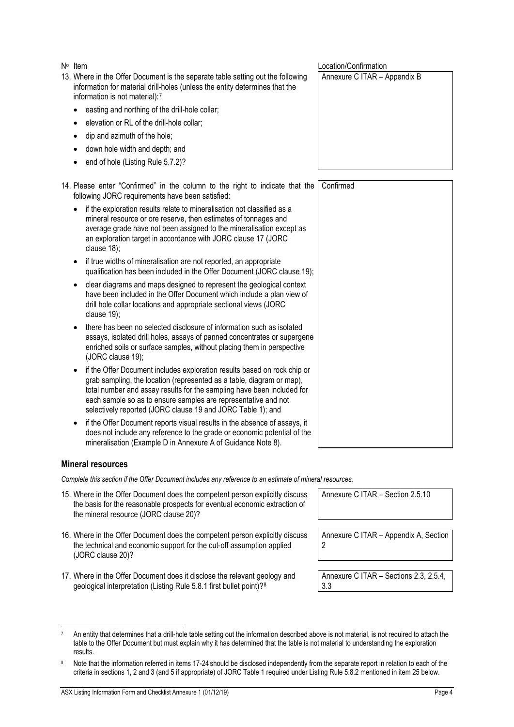<span id="page-19-2"></span>ASX Listing Information Form and Checklist Annexure 1 (01/12/19) **Page 4** Page 4

- 13. Where in the Offer Document is the separate table setting out the following information for material drill-holes (unless the entity determines that the information is not material):[7](#page-19-1)
	- easting and northing of the drill-hole collar;
	- elevation or RL of the drill-hole collar;
	- dip and azimuth of the hole;
	- down hole width and depth; and
	- end of hole (Listing Rule 5.7.2)?

14. Please enter "Confirmed" in the column to the right to indicate that the following JORC requirements have been satisfied: Confirmed

| • if the exploration results relate to mineralisation not classified as a |
|---------------------------------------------------------------------------|
| mineral resource or ore reserve, then estimates of tonnages and           |
| average grade have not been assigned to the mineralisation except as      |
| an exploration target in accordance with JORC clause 17 (JORC             |
| clause $18$ ;                                                             |

- if true widths of mineralisation are not reported, an appropriate qualification has been included in the Offer Document (JORC clause 19);
- clear diagrams and maps designed to represent the geological context have been included in the Offer Document which include a plan view of drill hole collar locations and appropriate sectional views (JORC clause 19);
- there has been no selected disclosure of information such as isolated assays, isolated drill holes, assays of panned concentrates or supergene enriched soils or surface samples, without placing them in perspective (JORC clause 19);
- if the Offer Document includes exploration results based on rock chip or grab sampling, the location (represented as a table, diagram or map), total number and assay results for the sampling have been included for each sample so as to ensure samples are representative and not selectively reported (JORC clause 19 and JORC Table 1); and
- if the Offer Document reports visual results in the absence of assays, it does not include any reference to the grade or economic potential of the mineralisation (Example D in Annexure A of Guidance Note 8).

#### **Mineral resources**

results.

*Complete this section if the Offer Document includes any reference to an estimate of mineral resources.*

<span id="page-19-1"></span><sup>7</sup> An entity that determines that a drill-hole table setting out the information described above is not material, is not required to attach the table to the Offer Document but must explain why it has determined that the table is not material to understanding the exploration

Note that the information referred in items [17-](#page-19-0)[24](#page-20-0) should be disclosed independently from the separate report in relation to each of the criteria in sections 1, 2 and 3 (and 5 if appropriate) of JORC Table 1 required under Listing Rule 5.8.2 mentioned in item [25](#page-20-1) below.

- 15. Where in the Offer Document does the competent person explicitly discuss the basis for the reasonable prospects for eventual economic extraction of the mineral resource (JORC clause 20)?
- 16. Where in the Offer Document does the competent person explicitly discuss the technical and economic support for the cut-off assumption applied (JORC clause 20)?
- <span id="page-19-0"></span>17. Where in the Offer Document does it disclose the relevant geology and geological interpretation (Listing Rule 5.8.1 first bullet point)?[8](#page-19-2)

No Item  $\mathsf{N}^{\circ}$  Location/Confirmation

Annexure C ITAR – Appendix B

Annexure C ITAR – Section 2.5.10

Annexure C ITAR – Appendix A, Section 2

Annexure C ITAR – Sections 2.3, 2.5.4, 3.3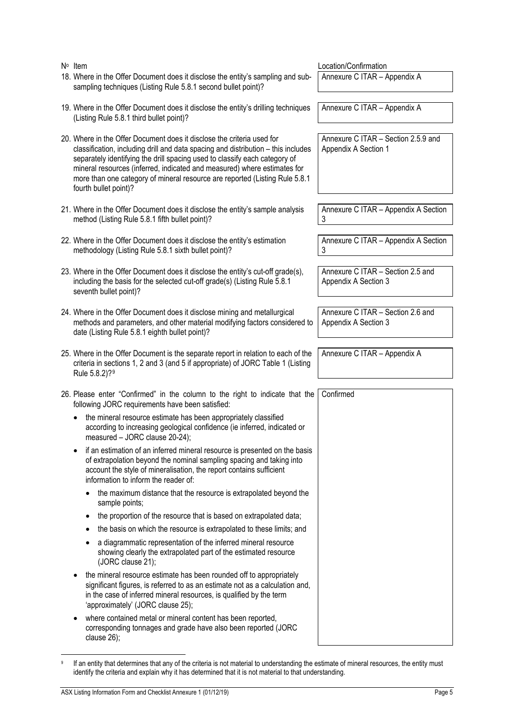<span id="page-20-1"></span><span id="page-20-0"></span>

| $N^{\circ}$ Item                                                                                                                                                                                                                                                                                                                                                                                                              | Location/Confirmation                                       |  |  |  |
|-------------------------------------------------------------------------------------------------------------------------------------------------------------------------------------------------------------------------------------------------------------------------------------------------------------------------------------------------------------------------------------------------------------------------------|-------------------------------------------------------------|--|--|--|
| 18. Where in the Offer Document does it disclose the entity's sampling and sub-<br>sampling techniques (Listing Rule 5.8.1 second bullet point)?                                                                                                                                                                                                                                                                              | Annexure C ITAR - Appendix A                                |  |  |  |
| 19. Where in the Offer Document does it disclose the entity's drilling techniques<br>(Listing Rule 5.8.1 third bullet point)?                                                                                                                                                                                                                                                                                                 | Annexure C ITAR - Appendix A                                |  |  |  |
| 20. Where in the Offer Document does it disclose the criteria used for<br>classification, including drill and data spacing and distribution - this includes<br>separately identifying the drill spacing used to classify each category of<br>mineral resources (inferred, indicated and measured) where estimates for<br>more than one category of mineral resource are reported (Listing Rule 5.8.1<br>fourth bullet point)? | Annexure C ITAR - Section 2.5.9 and<br>Appendix A Section 1 |  |  |  |
| 21. Where in the Offer Document does it disclose the entity's sample analysis<br>method (Listing Rule 5.8.1 fifth bullet point)?                                                                                                                                                                                                                                                                                              | Annexure C ITAR - Appendix A Section<br>3                   |  |  |  |
| 22. Where in the Offer Document does it disclose the entity's estimation<br>methodology (Listing Rule 5.8.1 sixth bullet point)?                                                                                                                                                                                                                                                                                              | Annexure C ITAR - Appendix A Section<br>3                   |  |  |  |
| 23. Where in the Offer Document does it disclose the entity's cut-off grade(s),<br>including the basis for the selected cut-off grade(s) (Listing Rule 5.8.1<br>seventh bullet point)?                                                                                                                                                                                                                                        | Annexure C ITAR - Section 2.5 and<br>Appendix A Section 3   |  |  |  |
| 24. Where in the Offer Document does it disclose mining and metallurgical<br>methods and parameters, and other material modifying factors considered to<br>date (Listing Rule 5.8.1 eighth bullet point)?                                                                                                                                                                                                                     | Annexure C ITAR - Section 2.6 and<br>Appendix A Section 3   |  |  |  |
| 25. Where in the Offer Document is the separate report in relation to each of the<br>criteria in sections 1, 2 and 3 (and 5 if appropriate) of JORC Table 1 (Listing<br>Rule 5.8.2)? <sup>9</sup>                                                                                                                                                                                                                             | Annexure C ITAR - Appendix A                                |  |  |  |
| 26. Please enter "Confirmed" in the column to the right to indicate that the<br>following JORC requirements have been satisfied:                                                                                                                                                                                                                                                                                              | Confirmed                                                   |  |  |  |
| the mineral resource estimate has been appropriately classified<br>according to increasing geological confidence (ie inferred, indicated or<br>measured - JORC clause 20-24);                                                                                                                                                                                                                                                 |                                                             |  |  |  |
| if an estimation of an inferred mineral resource is presented on the basis<br>of extrapolation beyond the nominal sampling spacing and taking into<br>account the style of mineralisation, the report contains sufficient<br>information to inform the reader of:                                                                                                                                                             |                                                             |  |  |  |
| the maximum distance that the resource is extrapolated beyond the<br>sample points;                                                                                                                                                                                                                                                                                                                                           |                                                             |  |  |  |
| the proportion of the resource that is based on extrapolated data;<br>٠                                                                                                                                                                                                                                                                                                                                                       |                                                             |  |  |  |
| the basis on which the resource is extrapolated to these limits; and                                                                                                                                                                                                                                                                                                                                                          |                                                             |  |  |  |
| a diagrammatic representation of the inferred mineral resource<br>showing clearly the extrapolated part of the estimated resource<br>(JORC clause 21);                                                                                                                                                                                                                                                                        |                                                             |  |  |  |
| the mineral resource estimate has been rounded off to appropriately<br>significant figures, is referred to as an estimate not as a calculation and,<br>in the case of inferred mineral resources, is qualified by the term<br>'approximately' (JORC clause 25);                                                                                                                                                               |                                                             |  |  |  |
| where contained metal or mineral content has been reported,<br>corresponding tonnages and grade have also been reported (JORC<br>clause 26);                                                                                                                                                                                                                                                                                  |                                                             |  |  |  |

<span id="page-20-2"></span>**<sup>9</sup>** If an entity that determines that any of the criteria is not material to understanding the estimate of mineral resources, the entity must identify the criteria and explain why it has determined that it is not material to that understanding.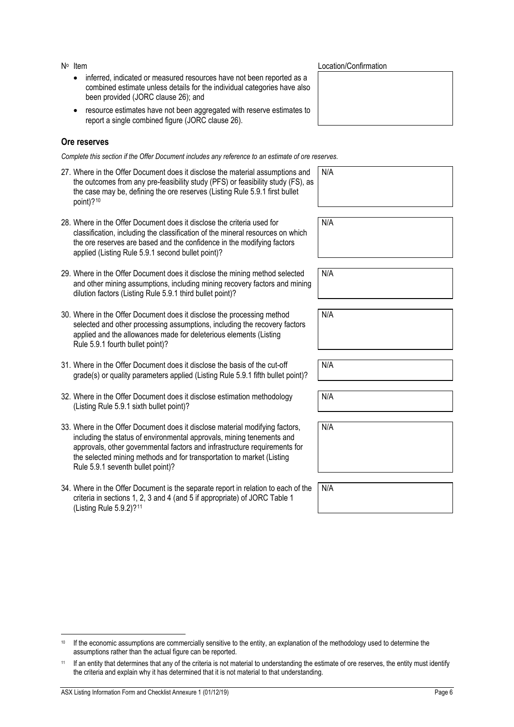- inferred, indicated or measured resources have not been reported as a combined estimate unless details for the individual categories have also been provided (JORC clause 26); and
- resource estimates have not been aggregated with reserve estimates to report a single combined figure (JORC clause 26).

#### **Ore reserves**

*Complete this section if the Offer Document includes any reference to an estimate of ore reserves.*

| 27. Where in the Offer Document does it disclose the material assumptions and<br>the outcomes from any pre-feasibility study (PFS) or feasibility study (FS), as<br>the case may be, defining the ore reserves (Listing Rule 5.9.1 first bullet<br>point)? $10$ | N/A |
|-----------------------------------------------------------------------------------------------------------------------------------------------------------------------------------------------------------------------------------------------------------------|-----|
| 28. Where in the Offer Document does it disclose the criteria used for                                                                                                                                                                                          | N/A |
| classification, including the classification of the mineral resources on which<br>the ore reserves are based and the confidence in the modifying factors<br>applied (Listing Rule 5.9.1 second bullet point)?                                                   |     |
|                                                                                                                                                                                                                                                                 |     |
| 29. Where in the Offer Document does it disclose the mining method selected<br>and other mining assumptions, including mining recovery factors and mining<br>dilution factors (Listing Rule 5.9.1 third bullet point)?                                          | N/A |
|                                                                                                                                                                                                                                                                 |     |
| 30. Where in the Offer Document does it disclose the processing method<br>selected and other processing assumptions, including the recovery factors<br>applied and the allowances made for deleterious elements (Listing<br>Rule 5.9.1 fourth bullet point)?    | N/A |
|                                                                                                                                                                                                                                                                 |     |
| 31. Where in the Offer Document does it disclose the basis of the cut-off<br>grade(s) or quality parameters applied (Listing Rule 5.9.1 fifth bullet point)?                                                                                                    | N/A |
|                                                                                                                                                                                                                                                                 |     |

- 32. Where in the Offer Document does it disclose estimation methodology (Listing Rule 5.9.1 sixth bullet point)?
- 33. Where in the Offer Document does it disclose material modifying factors, including the status of environmental approvals, mining tenements and approvals, other governmental factors and infrastructure requirements for the selected mining methods and for transportation to market (Listing Rule 5.9.1 seventh bullet point)?
- 34. Where in the Offer Document is the separate report in relation to each of the criteria in sections 1, 2, 3 and 4 (and 5 if appropriate) of JORC Table 1 (Listing Rule 5.9.2)?[11](#page-21-1)

#### No Item **No Item** Location/Confirmation

N/A

N/A N/A

<span id="page-21-0"></span><sup>&</sup>lt;sup>10</sup> If the economic assumptions are commercially sensitive to the entity, an explanation of the methodology used to determine the assumptions rather than the actual figure can be reported.

<span id="page-21-1"></span><sup>11</sup> If an entity that determines that any of the criteria is not material to understanding the estimate of ore reserves, the entity must identify the criteria and explain why it has determined that it is not material to that understanding.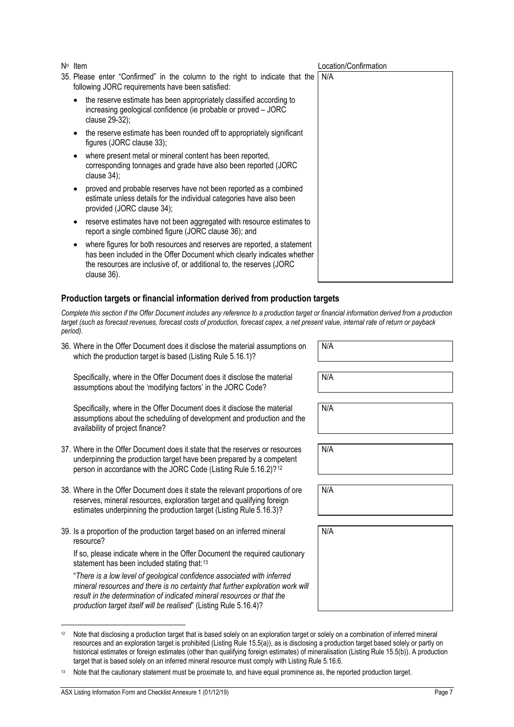- 35. Please enter "Confirmed" in the column to the right to indicate that the following JORC requirements have been satisfied:
	- the reserve estimate has been appropriately classified according to increasing geological confidence (ie probable or proved – JORC clause 29-32);
	- the reserve estimate has been rounded off to appropriately significant figures (JORC clause 33);
	- where present metal or mineral content has been reported, corresponding tonnages and grade have also been reported (JORC clause 34);
	- proved and probable reserves have not been reported as a combined estimate unless details for the individual categories have also been provided (JORC clause 34);
	- reserve estimates have not been aggregated with resource estimates to report a single combined figure (JORC clause 36); and
	- where figures for both resources and reserves are reported, a statement has been included in the Offer Document which clearly indicates whether the resources are inclusive of, or additional to, the reserves (JORC clause 36).

#### **Production targets or financial information derived from production targets**

*Complete this section if the Offer Document includes any reference to a production target or financial information derived from a production target (such as forecast revenues, forecast costs of production, forecast capex, a net present value, internal rate of return or payback period).*

36. Where in the Offer Document does it disclose the material assumptions on which the production target is based (Listing Rule 5.16.1)?

Specifically, where in the Offer Document does it disclose the material assumptions about the 'modifying factors' in the JORC Code?

Specifically, where in the Offer Document does it disclose the material assumptions about the scheduling of development and production and the availability of project finance?

- 37. Where in the Offer Document does it state that the reserves or resources underpinning the production target have been prepared by a competent person in accordance with the JORC Code (Listing Rule 5.16.2)?<sup>[12](#page-22-0)</sup>
- 38. Where in the Offer Document does it state the relevant proportions of ore reserves, mineral resources, exploration target and qualifying foreign estimates underpinning the production target (Listing Rule 5.16.3)?
- 39. Is a proportion of the production target based on an inferred mineral resource?

If so, please indicate where in the Offer Document the required cautionary statement has been included stating that:<sup>[13](#page-22-1)</sup>

"*There is a low level of geological confidence associated with inferred mineral resources and there is no certainty that further exploration work will result in the determination of indicated mineral resources or that the production target itself will be realised*" (Listing Rule 5.16.4)?

N/A

N/A

| N/A |  |  |  |
|-----|--|--|--|
|     |  |  |  |

N/A

<span id="page-22-0"></span><sup>&</sup>lt;sup>12</sup> Note that disclosing a production target that is based solely on an exploration target or solely on a combination of inferred mineral resources and an exploration target is prohibited (Listing Rule 15.5(a)), as is disclosing a production target based solely or partly on historical estimates or foreign estimates (other than qualifying foreign estimates) of mineralisation (Listing Rule 15.5(b)). A production target that is based solely on an inferred mineral resource must comply with Listing Rule 5.16.6.

<span id="page-22-1"></span><sup>13</sup> Note that the cautionary statement must be proximate to, and have equal prominence as, the reported production target.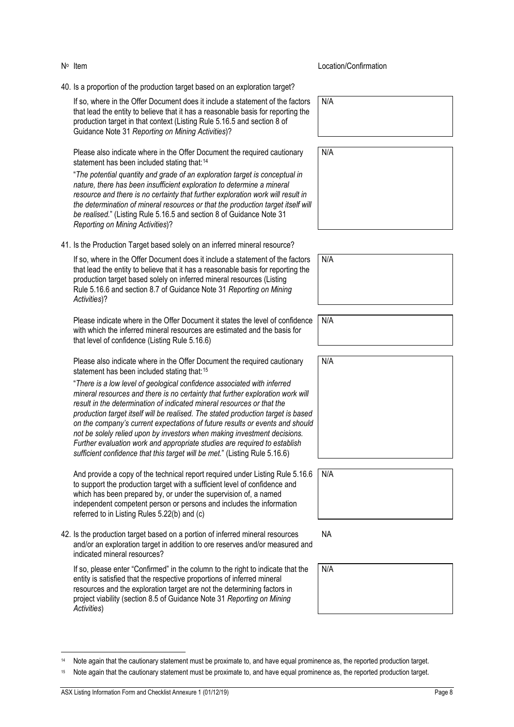40. Is a proportion of the production target based on an exploration target?

If so, where in the Offer Document does it include a statement of the factors that lead the entity to believe that it has a reasonable basis for reporting the production target in that context (Listing Rule 5.16.5 and section 8 of Guidance Note 31 *Reporting on Mining Activities*)?

Please also indicate where in the Offer Document the required cautionary statement has been included stating that:<sup>[14](#page-23-0)</sup>

"*The potential quantity and grade of an exploration target is conceptual in nature, there has been insufficient exploration to determine a mineral resource and there is no certainty that further exploration work will result in the determination of mineral resources or that the production target itself will be realised.*" (Listing Rule 5.16.5 and section 8 of Guidance Note 31 *Reporting on Mining Activities*)?

41. Is the Production Target based solely on an inferred mineral resource?

If so, where in the Offer Document does it include a statement of the factors that lead the entity to believe that it has a reasonable basis for reporting the production target based solely on inferred mineral resources (Listing Rule 5.16.6 and section 8.7 of Guidance Note 31 *Reporting on Mining Activities*)?

Please indicate where in the Offer Document it states the level of confidence with which the inferred mineral resources are estimated and the basis for that level of confidence (Listing Rule 5.16.6)

Please also indicate where in the Offer Document the required cautionary statement has been included stating that:<sup>[15](#page-23-1)</sup>

"*There is a low level of geological confidence associated with inferred mineral resources and there is no certainty that further exploration work will result in the determination of indicated mineral resources or that the production target itself will be realised. The stated production target is based on the company's current expectations of future results or events and should not be solely relied upon by investors when making investment decisions. Further evaluation work and appropriate studies are required to establish sufficient confidence that this target will be met.*" (Listing Rule 5.16.6)

And provide a copy of the technical report required under Listing Rule 5.16.6 to support the production target with a sufficient level of confidence and which has been prepared by, or under the supervision of, a named independent competent person or persons and includes the information referred to in Listing Rules 5.22(b) and (c)

42. Is the production target based on a portion of inferred mineral resources and/or an exploration target in addition to ore reserves and/or measured and indicated mineral resources?

If so, please enter "Confirmed" in the column to the right to indicate that the entity is satisfied that the respective proportions of inferred mineral resources and the exploration target are not the determining factors in project viability (section 8.5 of Guidance Note 31 *Reporting on Mining Activities*)

N<sup>o</sup> Item Location/Confirmation

N/A

N/A

| N/A |  |  |  |  |
|-----|--|--|--|--|
|     |  |  |  |  |
|     |  |  |  |  |
|     |  |  |  |  |

N/A

| N/A |
|-----|
|     |
|     |
|     |
|     |
|     |
|     |
|     |

| <sup>2</sup> | N/A |
|--------------|-----|
|              |     |
|              |     |
|              |     |

NA

| N/A |  |  |  |
|-----|--|--|--|
|     |  |  |  |
|     |  |  |  |
|     |  |  |  |

<span id="page-23-0"></span><sup>14</sup> Note again that the cautionary statement must be proximate to, and have equal prominence as, the reported production target.

<span id="page-23-1"></span><sup>15</sup> Note again that the cautionary statement must be proximate to, and have equal prominence as, the reported production target.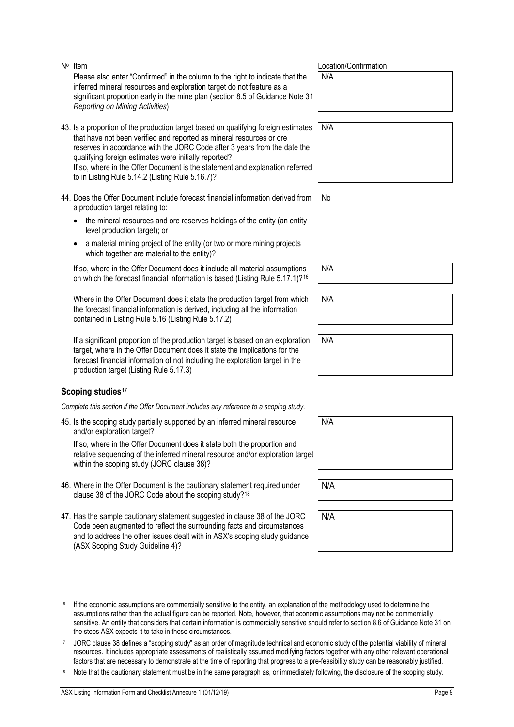the steps ASX expects it to take in these circumstances.

Please also enter "Confirmed" in the column to the right to indicate that the inferred mineral resources and exploration target do not feature as a significant proportion early in the mine plan (section 8.5 of Guidance Note 31 *Reporting on Mining Activities*) N/A 43. Is a proportion of the production target based on qualifying foreign estimates that have not been verified and reported as mineral resources or ore reserves in accordance with the JORC Code after 3 years from the date the qualifying foreign estimates were initially reported? N/A

to in Listing Rule 5.14.2 (Listing Rule 5.16.7)? 44. Does the Offer Document include forecast financial information derived from a production target relating to:

If so, where in the Offer Document is the statement and explanation referred

- the mineral resources and ore reserves holdings of the entity (an entity level production target); or
- a material mining project of the entity (or two or more mining projects which together are material to the entity)?

If so, where in the Offer Document does it include all material assumptions on which the forecast financial information is based (Listing Rule 5.17.1)?[16](#page-24-0)

Where in the Offer Document does it state the production target from which the forecast financial information is derived, including all the information contained in Listing Rule 5.16 (Listing Rule 5.17.2)

If a significant proportion of the production target is based on an exploration target, where in the Offer Document does it state the implications for the forecast financial information of not including the exploration target in the production target (Listing Rule 5.17.3)

#### **Scoping studies**<sup>[17](#page-24-1)</sup>

*Complete this section if the Offer Document includes any reference to a scoping study.*

45. Is the scoping study partially supported by an inferred mineral resource and/or exploration target?

If so, where in the Offer Document does it state both the proportion and relative sequencing of the inferred mineral resource and/or exploration target within the scoping study (JORC clause 38)?

- 46. Where in the Offer Document is the cautionary statement required under clause 38 of the JORC Code about the scoping study?[18](#page-24-2)
- 47. Has the sample cautionary statement suggested in clause 38 of the JORC Code been augmented to reflect the surrounding facts and circumstances and to address the other issues dealt with in ASX's scoping study guidance (ASX Scoping Study Guideline 4)?

<span id="page-24-0"></span><sup>16</sup> If the economic assumptions are commercially sensitive to the entity, an explanation of the methodology used to determine the assumptions rather than the actual figure can be reported. Note, however, that economic assumptions may not be commercially sensitive. An entity that considers that certain information is commercially sensitive should refer to section 8.6 of Guidance Note 31 on

<span id="page-24-2"></span><span id="page-24-1"></span><sup>17</sup> JORC clause 38 defines a "scoping study" as an order of magnitude technical and economic study of the potential viability of mineral resources. It includes appropriate assessments of realistically assumed modifying factors together with any other relevant operational factors that are necessary to demonstrate at the time of reporting that progress to a pre-feasibility study can be reasonably justified.

| N∘ Item | Location/Confirmation |
|---------|-----------------------|
|         |                       |

No

N/A

N/A

N/A

| N/A |  |  |  |
|-----|--|--|--|
|     |  |  |  |
|     |  |  |  |
|     |  |  |  |

N/A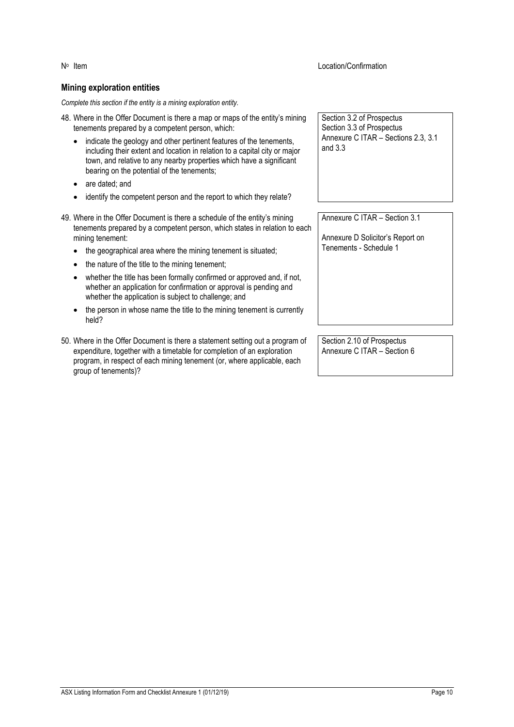No Item Location/Confirmation

#### **Mining exploration entities**

*Complete this section if the entity is a mining exploration entity.*

- 48. Where in the Offer Document is there a map or maps of the entity's mining tenements prepared by a competent person, which:
	- indicate the geology and other pertinent features of the tenements, including their extent and location in relation to a capital city or major town, and relative to any nearby properties which have a significant bearing on the potential of the tenements;
	- are dated; and
	- identify the competent person and the report to which they relate?
- 49. Where in the Offer Document is there a schedule of the entity's mining tenements prepared by a competent person, which states in relation to each mining tenement:
	- the geographical area where the mining tenement is situated;
	- the nature of the title to the mining tenement;
	- whether the title has been formally confirmed or approved and, if not, whether an application for confirmation or approval is pending and whether the application is subject to challenge; and
	- the person in whose name the title to the mining tenement is currently held?
- 50. Where in the Offer Document is there a statement setting out a program of expenditure, together with a timetable for completion of an exploration program, in respect of each mining tenement (or, where applicable, each group of tenements)?

Section 3.2 of Prospectus Section 3.3 of Prospectus Annexure C ITAR – Sections 2.3, 3.1 and 3.3

Annexure C ITAR – Section 3.1

Annexure D Solicitor's Report on Tenements - Schedule 1

Section 2.10 of Prospectus Annexure C ITAR – Section 6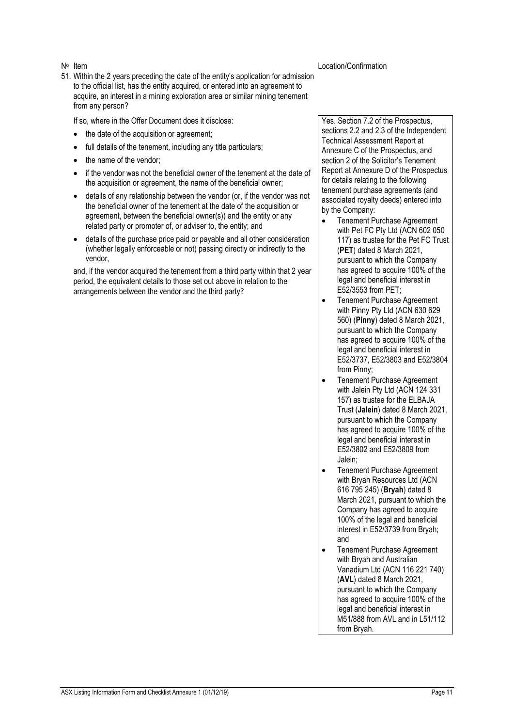51. Within the 2 years preceding the date of the entity's application for admission to the official list, has the entity acquired, or entered into an agreement to acquire, an interest in a mining exploration area or similar mining tenement from any person?

If so, where in the Offer Document does it disclose:

- the date of the acquisition or agreement:
- full details of the tenement, including any title particulars;
- the name of the vendor:
- if the vendor was not the beneficial owner of the tenement at the date of the acquisition or agreement, the name of the beneficial owner;
- details of any relationship between the vendor (or, if the vendor was not the beneficial owner of the tenement at the date of the acquisition or agreement, between the beneficial owner(s)) and the entity or any related party or promoter of, or adviser to, the entity; and
- details of the purchase price paid or payable and all other consideration (whether legally enforceable or not) passing directly or indirectly to the vendor,

and, if the vendor acquired the tenement from a third party within that 2 year period, the equivalent details to those set out above in relation to the arrangements between the vendor and the third party?

N<sup>o</sup> Item Location/Confirmation

Yes. Section 7.2 of the Prospectus, sections 2.2 and 2.3 of the Independent Technical Assessment Report at Annexure C of the Prospectus, and section 2 of the Solicitor's Tenement Report at Annexure D of the Prospectus for details relating to the following tenement purchase agreements (and associated royalty deeds) entered into by the Company:

- Tenement Purchase Agreement with Pet FC Pty Ltd (ACN 602 050 117) as trustee for the Pet FC Trust (**PET**) dated 8 March 2021, pursuant to which the Company has agreed to acquire 100% of the legal and beneficial interest in E52/3553 from PET;
- Tenement Purchase Agreement with Pinny Pty Ltd (ACN 630 629 560) (**Pinny**) dated 8 March 2021, pursuant to which the Company has agreed to acquire 100% of the legal and beneficial interest in E52/3737, E52/3803 and E52/3804 from Pinny;
- Tenement Purchase Agreement with Jalein Pty Ltd (ACN 124 331 157) as trustee for the ELBAJA Trust (**Jalein**) dated 8 March 2021, pursuant to which the Company has agreed to acquire 100% of the legal and beneficial interest in E52/3802 and E52/3809 from Jalein;
- Tenement Purchase Agreement with Bryah Resources Ltd (ACN 616 795 245) (**Bryah**) dated 8 March 2021, pursuant to which the Company has agreed to acquire 100% of the legal and beneficial interest in E52/3739 from Bryah; and
- Tenement Purchase Agreement with Bryah and Australian Vanadium Ltd (ACN 116 221 740) (**AVL**) dated 8 March 2021, pursuant to which the Company has agreed to acquire 100% of the legal and beneficial interest in M51/888 from AVL and in L51/112 from Bryah.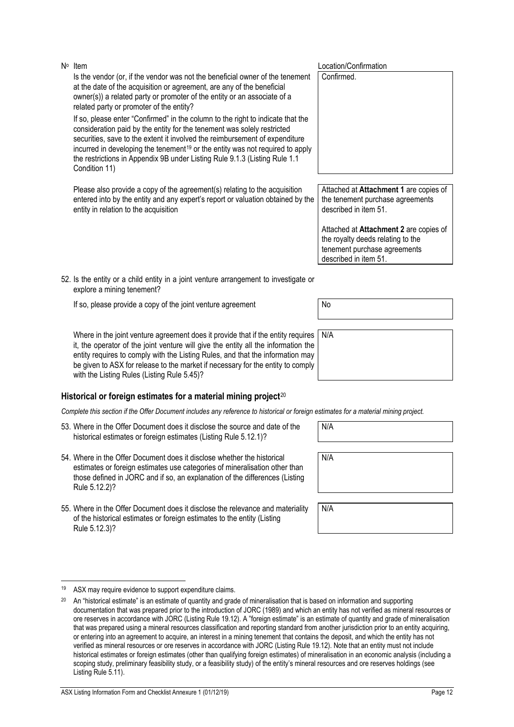If so, please provide a copy of the joint venture agreement | No Where in the joint venture agreement does it provide that if the entity requires

52. Is the entity or a child entity in a joint venture arrangement to investigate or

explore a mining tenement?

it, the operator of the joint venture will give the entity all the information the entity requires to comply with the Listing Rules, and that the information may be given to ASX for release to the market if necessary for the entity to comply with the Listing Rules (Listing Rule 5.45)?

## **Historical or foreign estimates for a material mining project**[20](#page-27-1)

*Complete this section if the Offer Document includes any reference to historical or foreign estimates for a material mining project.*

- 53. Where in the Offer Document does it disclose the source and date of the historical estimates or foreign estimates (Listing Rule 5.12.1)?
- 54. Where in the Offer Document does it disclose whether the historical estimates or foreign estimates use categories of mineralisation other than those defined in JORC and if so, an explanation of the differences (Listing Rule 5.12.2)?
- 55. Where in the Offer Document does it disclose the relevance and materiality of the historical estimates or foreign estimates to the entity (Listing Rule 5.12.3)?

<span id="page-27-0"></span>

| 19   |  |  |  |  |  |  | ASX may require evidence to support expenditure claims. |  |
|------|--|--|--|--|--|--|---------------------------------------------------------|--|
| $ -$ |  |  |  |  |  |  |                                                         |  |

Attached at **Attachment 1** are copies of the tenement purchase agreements described in item 51.

Attached at **Attachment 2** are copies of the royalty deeds relating to the tenement purchase agreements described in item 51.

N/A

N/A

N/A

Is the vendor (or, if the vendor was not the beneficial owner of the tenement at the date of the acquisition or agreement, are any of the beneficial owner(s)) a related party or promoter of the entity or an associate of a related party or promoter of the entity?

If so, please enter "Confirmed" in the column to the right to indicate that the consideration paid by the entity for the tenement was solely restricted securities, save to the extent it involved the reimbursement of expenditure incurred in developing the tenement<sup>[19](#page-27-0)</sup> or the entity was not required to apply the restrictions in Appendix 9B under Listing Rule 9.1.3 (Listing Rule 1.1 Condition 11)

Please also provide a copy of the agreement(s) relating to the acquisition entered into by the entity and any expert's report or valuation obtained by the entity in relation to the acquisition

No Item  $\mathsf{N}^{\circ}$  Location/Confirmation

Confirmed.

<span id="page-27-1"></span><sup>&</sup>lt;sup>20</sup> An "historical estimate" is an estimate of quantity and grade of mineralisation that is based on information and supporting documentation that was prepared prior to the introduction of JORC (1989) and which an entity has not verified as mineral resources or ore reserves in accordance with JORC (Listing Rule 19.12). A "foreign estimate" is an estimate of quantity and grade of mineralisation that was prepared using a mineral resources classification and reporting standard from another jurisdiction prior to an entity acquiring, or entering into an agreement to acquire, an interest in a mining tenement that contains the deposit, and which the entity has not verified as mineral resources or ore reserves in accordance with JORC (Listing Rule 19.12). Note that an entity must not include historical estimates or foreign estimates (other than qualifying foreign estimates) of mineralisation in an economic analysis (including a scoping study, preliminary feasibility study, or a feasibility study) of the entity's mineral resources and ore reserves holdings (see Listing Rule 5.11).